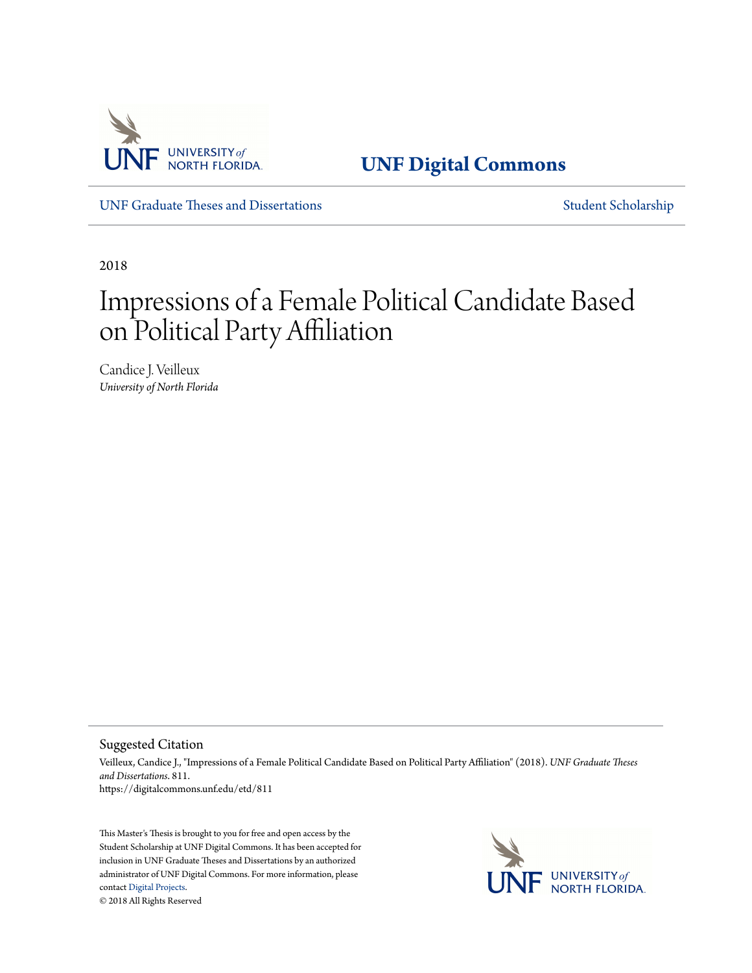

**[UNF Digital Commons](https://digitalcommons.unf.edu)**

[UNF Graduate Theses and Dissertations](https://digitalcommons.unf.edu/etd) [Student Scholarship](https://digitalcommons.unf.edu/student_scholars)

2018

# Impressions of a Female Political Candidate Based on Political Party Affiliation

Candice J. Veilleux *University of North Florida*

Suggested Citation

Veilleux, Candice J., "Impressions of a Female Political Candidate Based on Political Party Affiliation" (2018). *UNF Graduate Theses and Dissertations*. 811. https://digitalcommons.unf.edu/etd/811

This Master's Thesis is brought to you for free and open access by the Student Scholarship at UNF Digital Commons. It has been accepted for inclusion in UNF Graduate Theses and Dissertations by an authorized administrator of UNF Digital Commons. For more information, please contact [Digital Projects.](mailto:lib-digital@unf.edu) © 2018 All Rights Reserved

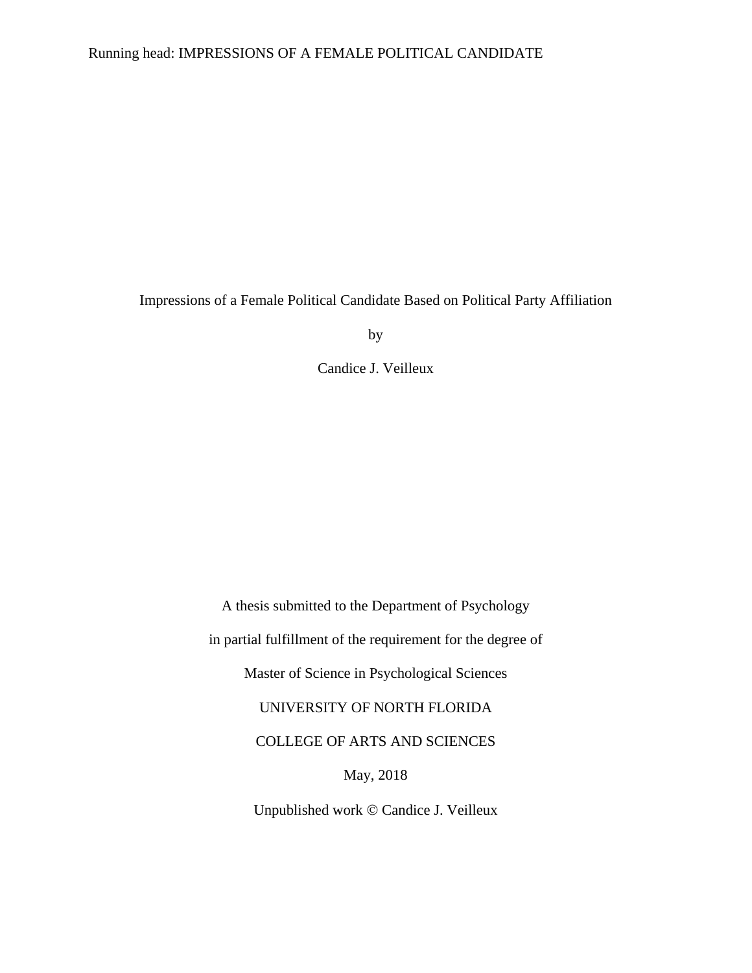## Running head: IMPRESSIONS OF A FEMALE POLITICAL CANDIDATE

Impressions of a Female Political Candidate Based on Political Party Affiliation

by

Candice J. Veilleux

A thesis submitted to the Department of Psychology in partial fulfillment of the requirement for the degree of Master of Science in Psychological Sciences UNIVERSITY OF NORTH FLORIDA COLLEGE OF ARTS AND SCIENCES May, 2018 Unpublished work © Candice J. Veilleux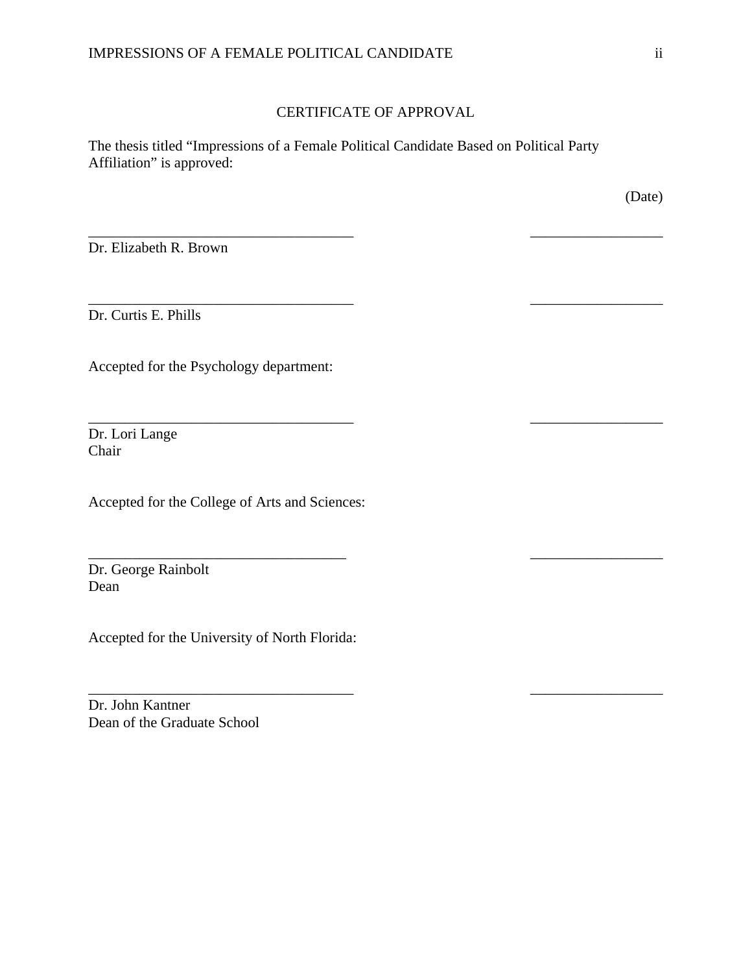## CERTIFICATE OF APPROVAL

\_\_\_\_\_\_\_\_\_\_\_\_\_\_\_\_\_\_\_\_\_\_\_\_\_\_\_\_\_\_\_\_\_\_\_\_ \_\_\_\_\_\_\_\_\_\_\_\_\_\_\_\_\_\_

\_\_\_\_\_\_\_\_\_\_\_\_\_\_\_\_\_\_\_\_\_\_\_\_\_\_\_\_\_\_\_\_\_\_\_\_ \_\_\_\_\_\_\_\_\_\_\_\_\_\_\_\_\_\_

\_\_\_\_\_\_\_\_\_\_\_\_\_\_\_\_\_\_\_\_\_\_\_\_\_\_\_\_\_\_\_\_\_\_\_\_ \_\_\_\_\_\_\_\_\_\_\_\_\_\_\_\_\_\_

\_\_\_\_\_\_\_\_\_\_\_\_\_\_\_\_\_\_\_\_\_\_\_\_\_\_\_\_\_\_\_\_\_\_\_ \_\_\_\_\_\_\_\_\_\_\_\_\_\_\_\_\_\_

\_\_\_\_\_\_\_\_\_\_\_\_\_\_\_\_\_\_\_\_\_\_\_\_\_\_\_\_\_\_\_\_\_\_\_\_ \_\_\_\_\_\_\_\_\_\_\_\_\_\_\_\_\_\_

The thesis titled "Impressions of a Female Political Candidate Based on Political Party Affiliation" is approved:

(Date)

Dr. Elizabeth R. Brown

Dr. Curtis E. Phills

Accepted for the Psychology department:

Dr. Lori Lange Chair

Accepted for the College of Arts and Sciences:

Dr. George Rainbolt Dean

Accepted for the University of North Florida:

Dr. John Kantner Dean of the Graduate School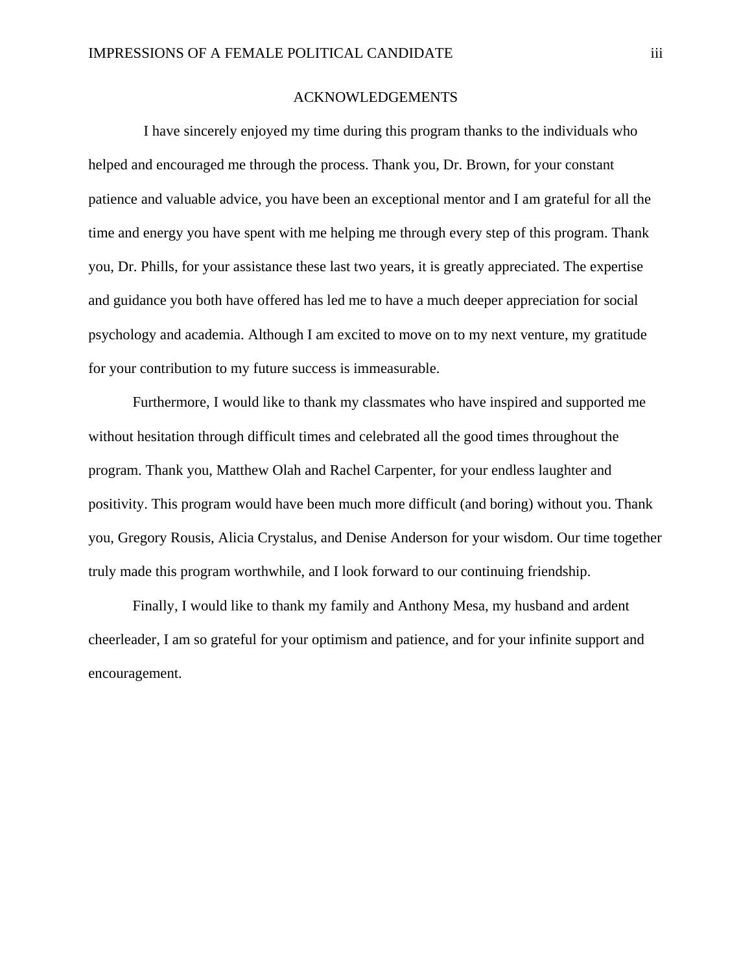## ACKNOWLEDGEMENTS

 I have sincerely enjoyed my time during this program thanks to the individuals who helped and encouraged me through the process. Thank you, Dr. Brown, for your constant patience and valuable advice, you have been an exceptional mentor and I am grateful for all the time and energy you have spent with me helping me through every step of this program. Thank you, Dr. Phills, for your assistance these last two years, it is greatly appreciated. The expertise and guidance you both have offered has led me to have a much deeper appreciation for social psychology and academia. Although I am excited to move on to my next venture, my gratitude for your contribution to my future success is immeasurable.

Furthermore, I would like to thank my classmates who have inspired and supported me without hesitation through difficult times and celebrated all the good times throughout the program. Thank you, Matthew Olah and Rachel Carpenter, for your endless laughter and positivity. This program would have been much more difficult (and boring) without you. Thank you, Gregory Rousis, Alicia Crystalus, and Denise Anderson for your wisdom. Our time together truly made this program worthwhile, and I look forward to our continuing friendship.

Finally, I would like to thank my family and Anthony Mesa, my husband and ardent cheerleader, I am so grateful for your optimism and patience, and for your infinite support and encouragement.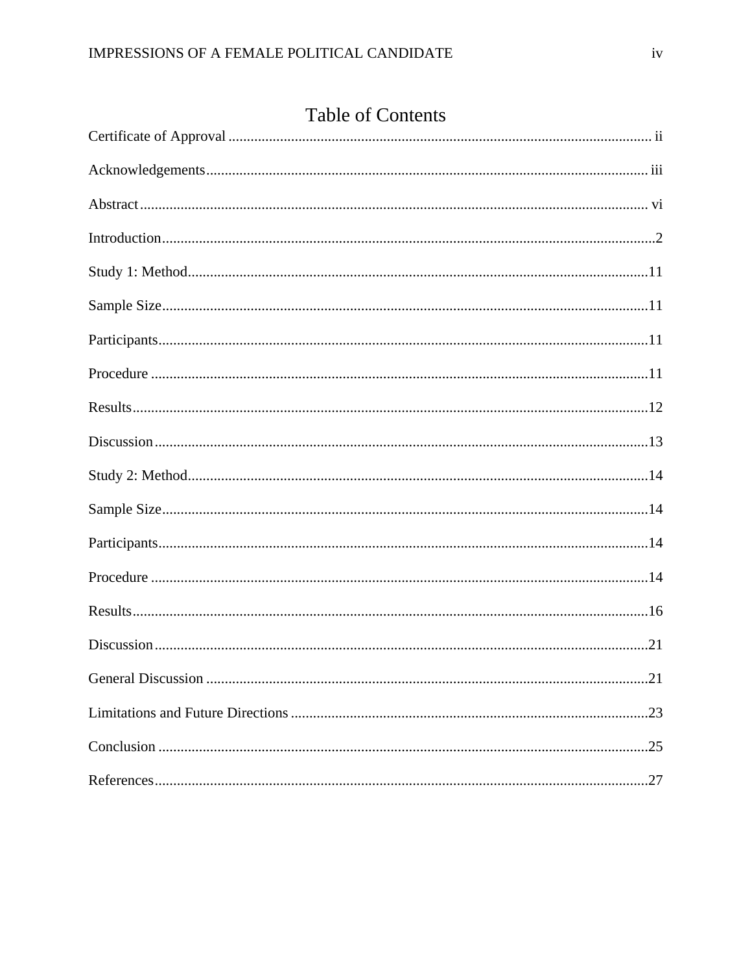| <b>Table of Contents</b> |
|--------------------------|
|                          |
|                          |
|                          |
|                          |
|                          |
|                          |
|                          |
|                          |
|                          |
|                          |
|                          |
|                          |
|                          |
|                          |
|                          |
|                          |
| .21                      |
|                          |
|                          |
|                          |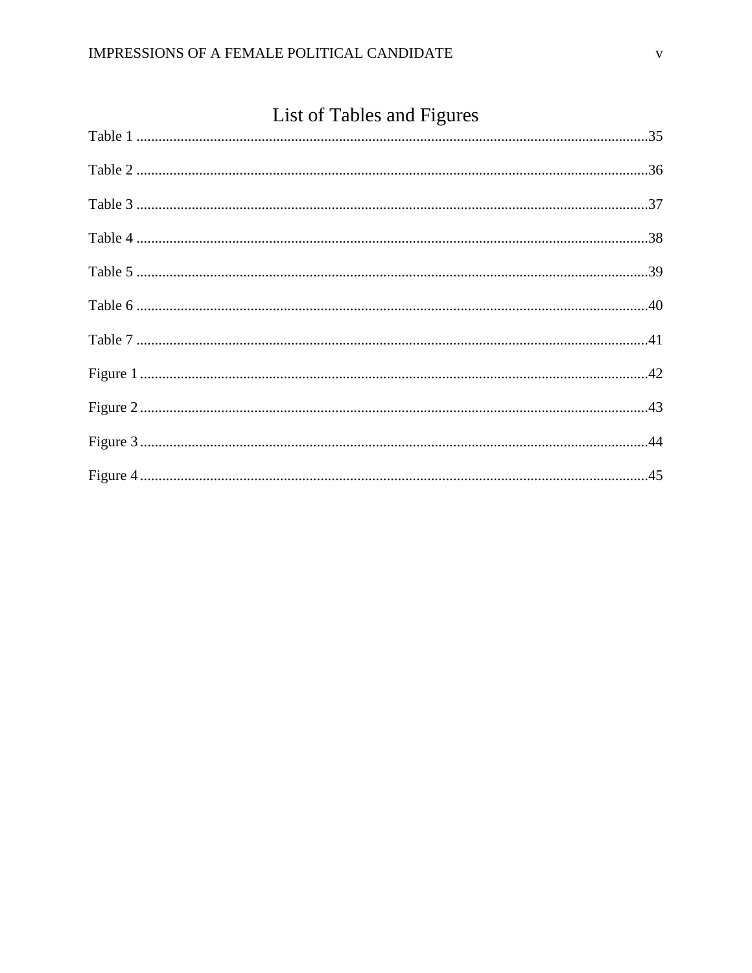## List of Tables and Figures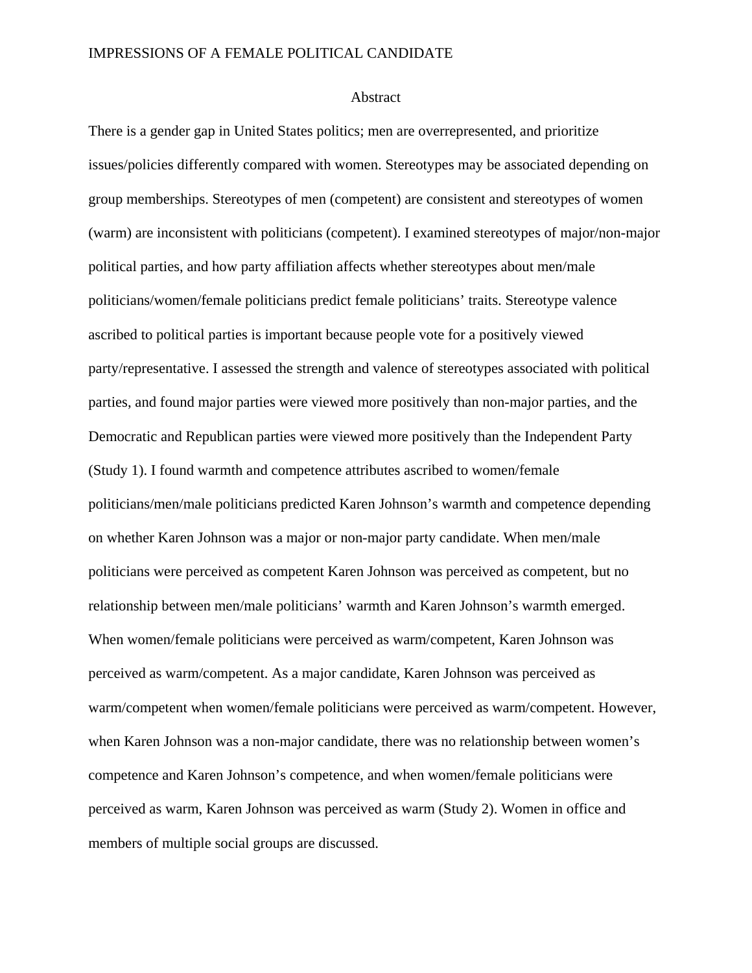## IMPRESSIONS OF A FEMALE POLITICAL CANDIDATE

## Abstract

There is a gender gap in United States politics; men are overrepresented, and prioritize issues/policies differently compared with women. Stereotypes may be associated depending on group memberships. Stereotypes of men (competent) are consistent and stereotypes of women (warm) are inconsistent with politicians (competent). I examined stereotypes of major/non-major political parties, and how party affiliation affects whether stereotypes about men/male politicians/women/female politicians predict female politicians' traits. Stereotype valence ascribed to political parties is important because people vote for a positively viewed party/representative. I assessed the strength and valence of stereotypes associated with political parties, and found major parties were viewed more positively than non-major parties, and the Democratic and Republican parties were viewed more positively than the Independent Party (Study 1). I found warmth and competence attributes ascribed to women/female politicians/men/male politicians predicted Karen Johnson's warmth and competence depending on whether Karen Johnson was a major or non-major party candidate. When men/male politicians were perceived as competent Karen Johnson was perceived as competent, but no relationship between men/male politicians' warmth and Karen Johnson's warmth emerged. When women/female politicians were perceived as warm/competent, Karen Johnson was perceived as warm/competent. As a major candidate, Karen Johnson was perceived as warm/competent when women/female politicians were perceived as warm/competent. However, when Karen Johnson was a non-major candidate, there was no relationship between women's competence and Karen Johnson's competence, and when women/female politicians were perceived as warm, Karen Johnson was perceived as warm (Study 2). Women in office and members of multiple social groups are discussed.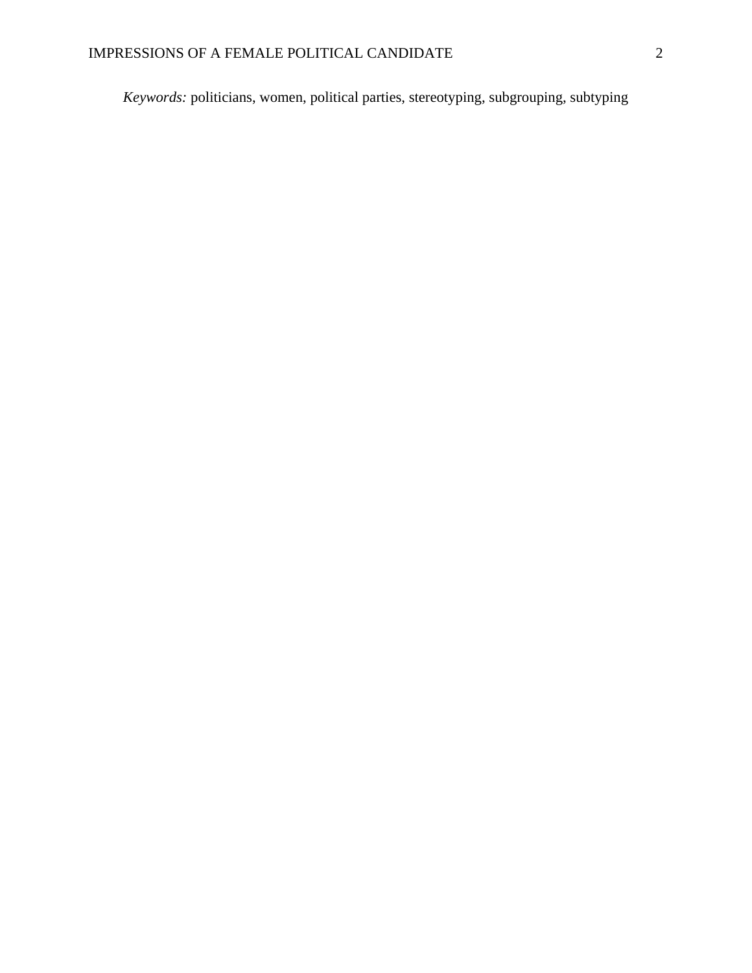*Keywords:* politicians, women, political parties, stereotyping, subgrouping, subtyping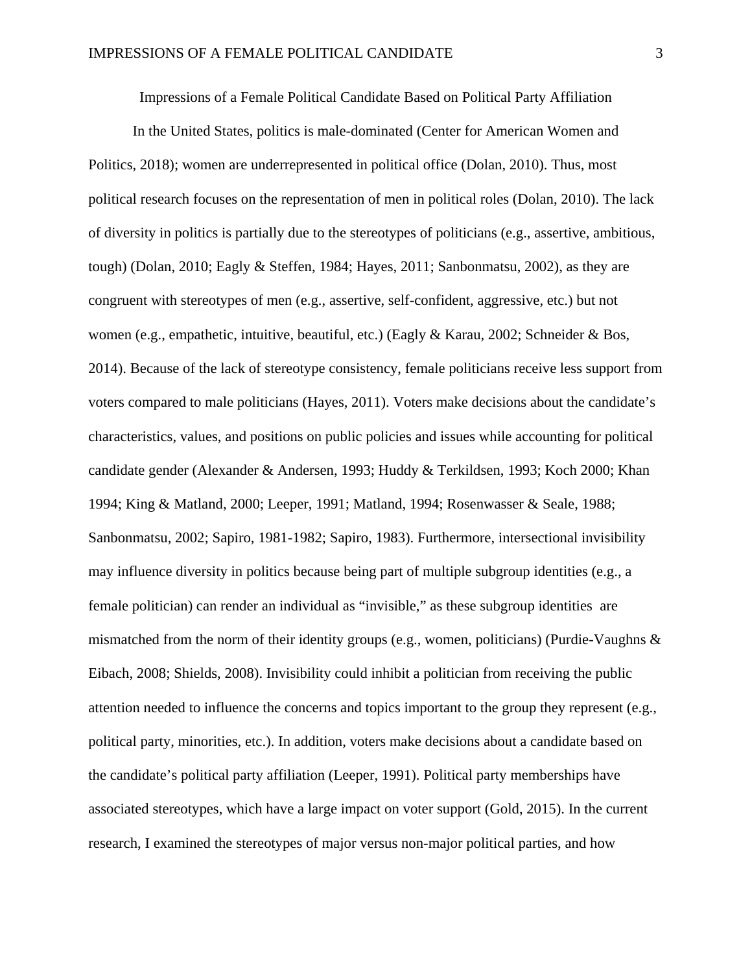Impressions of a Female Political Candidate Based on Political Party Affiliation

In the United States, politics is male-dominated (Center for American Women and Politics, 2018); women are underrepresented in political office (Dolan, 2010). Thus, most political research focuses on the representation of men in political roles (Dolan, 2010). The lack of diversity in politics is partially due to the stereotypes of politicians (e.g., assertive, ambitious, tough) (Dolan, 2010; Eagly & Steffen, 1984; Hayes, 2011; Sanbonmatsu, 2002), as they are congruent with stereotypes of men (e.g., assertive, self-confident, aggressive, etc.) but not women (e.g., empathetic, intuitive, beautiful, etc.) (Eagly & Karau, 2002; Schneider & Bos, 2014). Because of the lack of stereotype consistency, female politicians receive less support from voters compared to male politicians (Hayes, 2011). Voters make decisions about the candidate's characteristics, values, and positions on public policies and issues while accounting for political candidate gender (Alexander & Andersen, 1993; Huddy & Terkildsen, 1993; Koch 2000; Khan 1994; King & Matland, 2000; Leeper, 1991; Matland, 1994; Rosenwasser & Seale, 1988; Sanbonmatsu, 2002; Sapiro, 1981-1982; Sapiro, 1983). Furthermore, intersectional invisibility may influence diversity in politics because being part of multiple subgroup identities (e.g., a female politician) can render an individual as "invisible," as these subgroup identities are mismatched from the norm of their identity groups (e.g., women, politicians) (Purdie-Vaughns & Eibach, 2008; Shields, 2008). Invisibility could inhibit a politician from receiving the public attention needed to influence the concerns and topics important to the group they represent (e.g., political party, minorities, etc.). In addition, voters make decisions about a candidate based on the candidate's political party affiliation (Leeper, 1991). Political party memberships have associated stereotypes, which have a large impact on voter support (Gold, 2015). In the current research, I examined the stereotypes of major versus non-major political parties, and how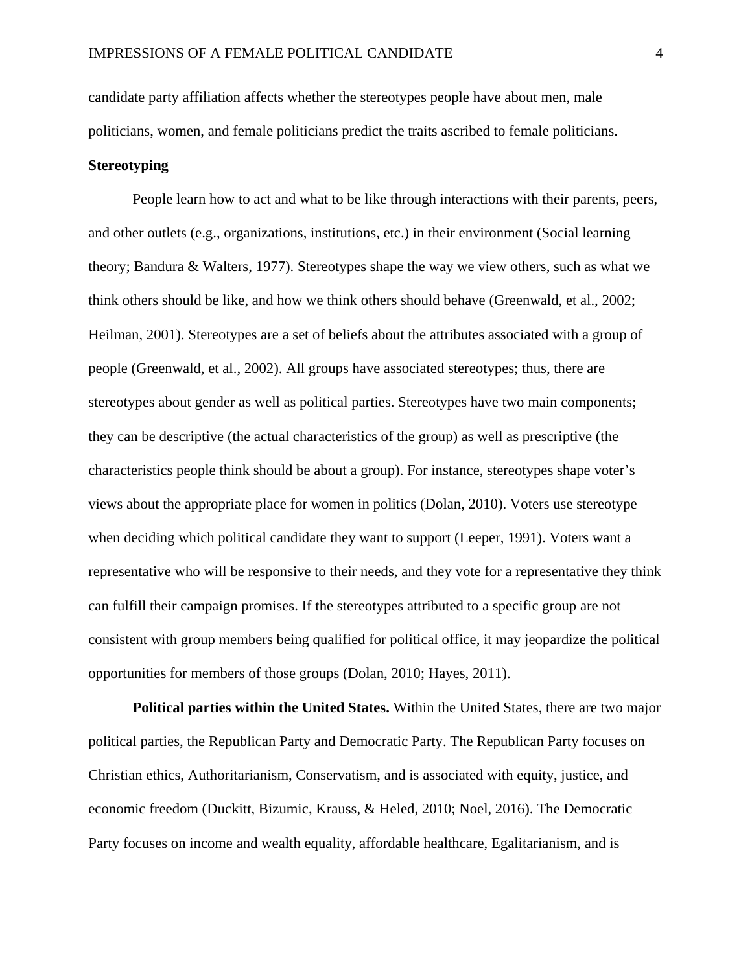candidate party affiliation affects whether the stereotypes people have about men, male politicians, women, and female politicians predict the traits ascribed to female politicians. **Stereotyping** 

People learn how to act and what to be like through interactions with their parents, peers, and other outlets (e.g., organizations, institutions, etc.) in their environment (Social learning theory; Bandura & Walters, 1977). Stereotypes shape the way we view others, such as what we think others should be like, and how we think others should behave (Greenwald, et al., 2002; Heilman, 2001). Stereotypes are a set of beliefs about the attributes associated with a group of people (Greenwald, et al., 2002). All groups have associated stereotypes; thus, there are stereotypes about gender as well as political parties. Stereotypes have two main components; they can be descriptive (the actual characteristics of the group) as well as prescriptive (the characteristics people think should be about a group). For instance, stereotypes shape voter's views about the appropriate place for women in politics (Dolan, 2010). Voters use stereotype when deciding which political candidate they want to support (Leeper, 1991). Voters want a representative who will be responsive to their needs, and they vote for a representative they think can fulfill their campaign promises. If the stereotypes attributed to a specific group are not consistent with group members being qualified for political office, it may jeopardize the political opportunities for members of those groups (Dolan, 2010; Hayes, 2011).

**Political parties within the United States.** Within the United States, there are two major political parties, the Republican Party and Democratic Party. The Republican Party focuses on Christian ethics, Authoritarianism, Conservatism, and is associated with equity, justice, and economic freedom (Duckitt, Bizumic, Krauss, & Heled, 2010; Noel, 2016). The Democratic Party focuses on income and wealth equality, affordable healthcare, Egalitarianism, and is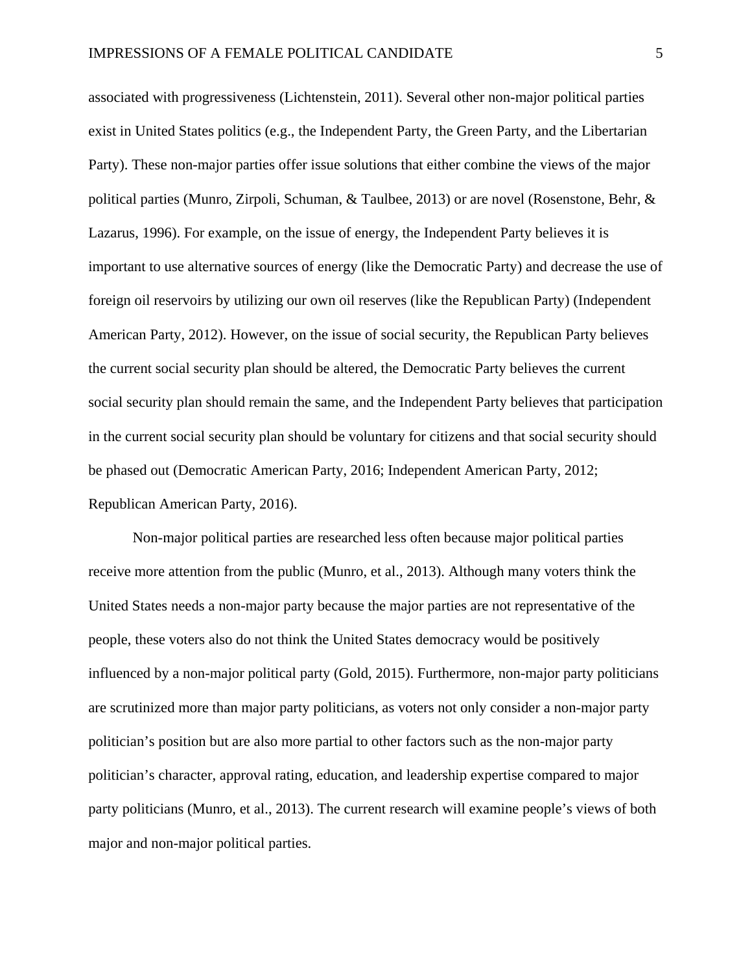associated with progressiveness (Lichtenstein, 2011). Several other non-major political parties exist in United States politics (e.g., the Independent Party, the Green Party, and the Libertarian Party). These non-major parties offer issue solutions that either combine the views of the major political parties (Munro, Zirpoli, Schuman, & Taulbee, 2013) or are novel (Rosenstone, Behr, & Lazarus, 1996). For example, on the issue of energy, the Independent Party believes it is important to use alternative sources of energy (like the Democratic Party) and decrease the use of foreign oil reservoirs by utilizing our own oil reserves (like the Republican Party) (Independent American Party, 2012). However, on the issue of social security, the Republican Party believes the current social security plan should be altered, the Democratic Party believes the current social security plan should remain the same, and the Independent Party believes that participation in the current social security plan should be voluntary for citizens and that social security should be phased out (Democratic American Party, 2016; Independent American Party, 2012; Republican American Party, 2016).

Non-major political parties are researched less often because major political parties receive more attention from the public (Munro, et al., 2013). Although many voters think the United States needs a non-major party because the major parties are not representative of the people, these voters also do not think the United States democracy would be positively influenced by a non-major political party (Gold, 2015). Furthermore, non-major party politicians are scrutinized more than major party politicians, as voters not only consider a non-major party politician's position but are also more partial to other factors such as the non-major party politician's character, approval rating, education, and leadership expertise compared to major party politicians (Munro, et al., 2013). The current research will examine people's views of both major and non-major political parties.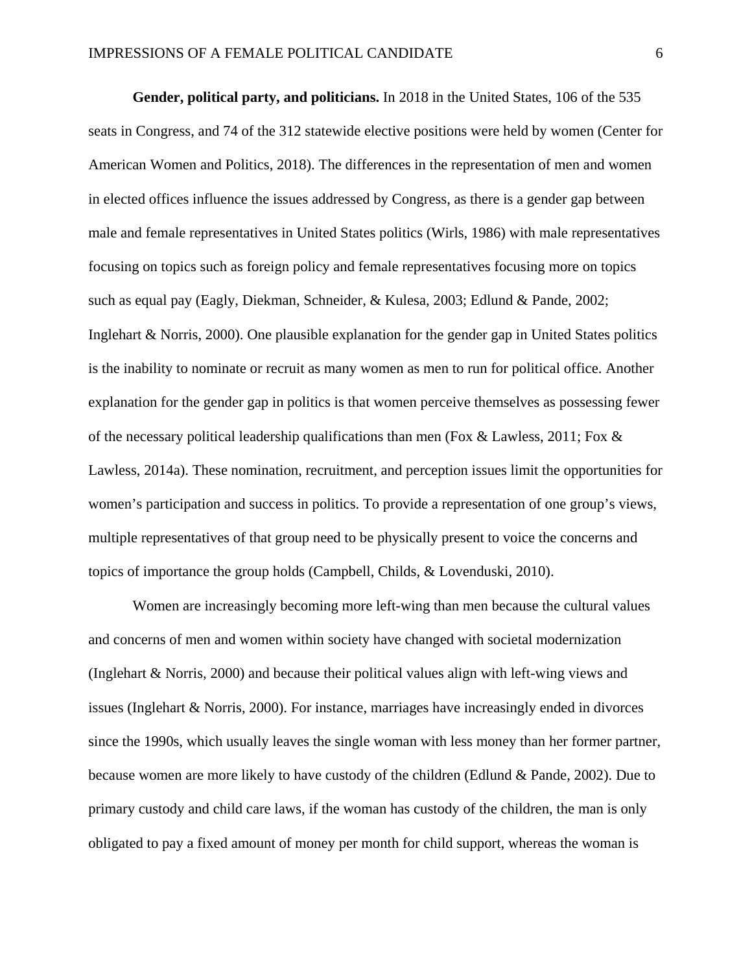**Gender, political party, and politicians.** In 2018 in the United States, 106 of the 535 seats in Congress, and 74 of the 312 statewide elective positions were held by women (Center for American Women and Politics, 2018). The differences in the representation of men and women in elected offices influence the issues addressed by Congress, as there is a gender gap between male and female representatives in United States politics (Wirls, 1986) with male representatives focusing on topics such as foreign policy and female representatives focusing more on topics such as equal pay (Eagly, Diekman, Schneider, & Kulesa, 2003; Edlund & Pande, 2002; Inglehart & Norris, 2000). One plausible explanation for the gender gap in United States politics is the inability to nominate or recruit as many women as men to run for political office. Another explanation for the gender gap in politics is that women perceive themselves as possessing fewer of the necessary political leadership qualifications than men (Fox & Lawless, 2011; Fox & Lawless, 2014a). These nomination, recruitment, and perception issues limit the opportunities for women's participation and success in politics. To provide a representation of one group's views, multiple representatives of that group need to be physically present to voice the concerns and topics of importance the group holds (Campbell, Childs, & Lovenduski, 2010).

Women are increasingly becoming more left-wing than men because the cultural values and concerns of men and women within society have changed with societal modernization (Inglehart & Norris, 2000) and because their political values align with left-wing views and issues (Inglehart & Norris, 2000). For instance, marriages have increasingly ended in divorces since the 1990s, which usually leaves the single woman with less money than her former partner, because women are more likely to have custody of the children (Edlund & Pande, 2002). Due to primary custody and child care laws, if the woman has custody of the children, the man is only obligated to pay a fixed amount of money per month for child support, whereas the woman is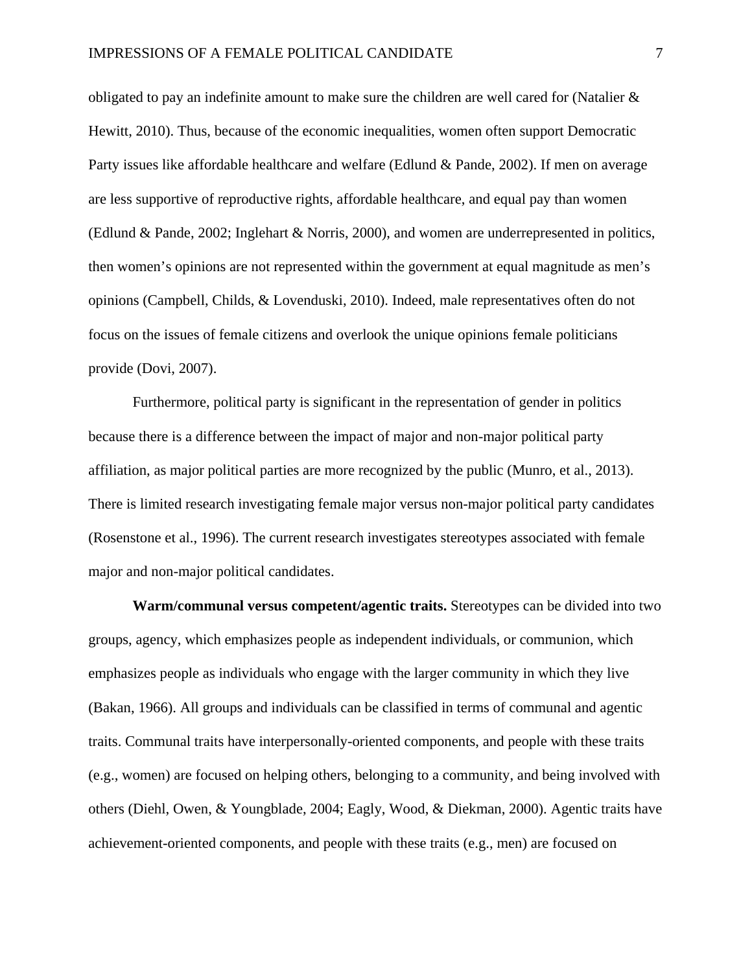obligated to pay an indefinite amount to make sure the children are well cared for (Natalier  $\&$ Hewitt, 2010). Thus, because of the economic inequalities, women often support Democratic Party issues like affordable healthcare and welfare (Edlund & Pande, 2002). If men on average are less supportive of reproductive rights, affordable healthcare, and equal pay than women (Edlund & Pande, 2002; Inglehart & Norris, 2000), and women are underrepresented in politics, then women's opinions are not represented within the government at equal magnitude as men's opinions (Campbell, Childs, & Lovenduski, 2010). Indeed, male representatives often do not focus on the issues of female citizens and overlook the unique opinions female politicians provide (Dovi, 2007).

Furthermore, political party is significant in the representation of gender in politics because there is a difference between the impact of major and non-major political party affiliation, as major political parties are more recognized by the public (Munro, et al., 2013). There is limited research investigating female major versus non-major political party candidates (Rosenstone et al., 1996). The current research investigates stereotypes associated with female major and non-major political candidates.

**Warm/communal versus competent/agentic traits.** Stereotypes can be divided into two groups, agency, which emphasizes people as independent individuals, or communion, which emphasizes people as individuals who engage with the larger community in which they live (Bakan, 1966). All groups and individuals can be classified in terms of communal and agentic traits. Communal traits have interpersonally-oriented components, and people with these traits (e.g., women) are focused on helping others, belonging to a community, and being involved with others (Diehl, Owen, & Youngblade, 2004; Eagly, Wood, & Diekman, 2000). Agentic traits have achievement-oriented components, and people with these traits (e.g., men) are focused on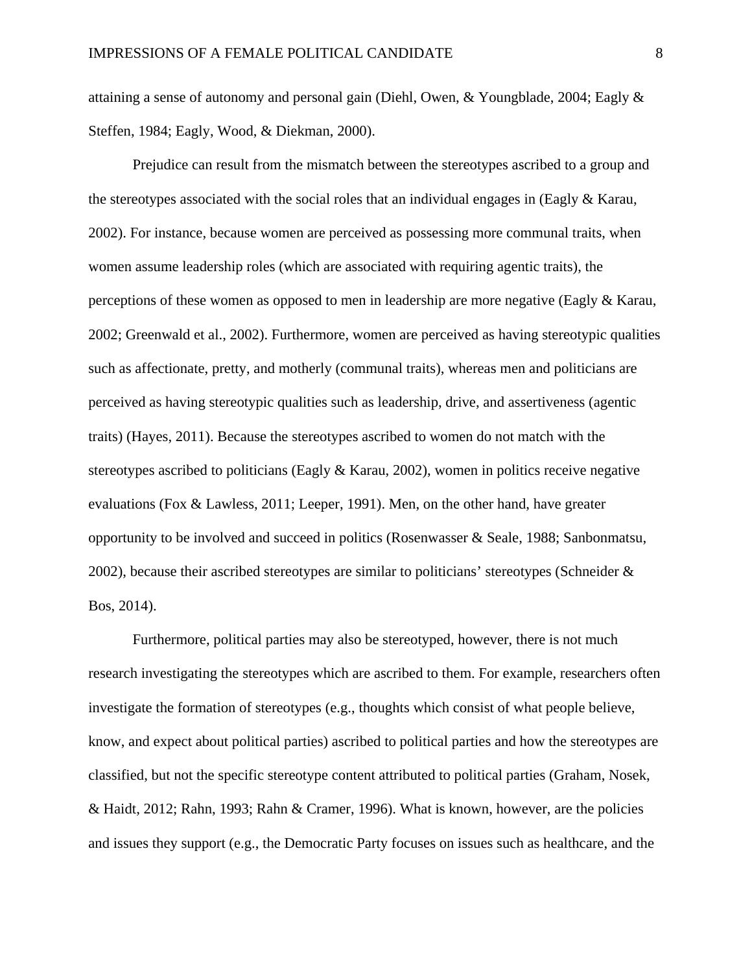attaining a sense of autonomy and personal gain (Diehl, Owen, & Youngblade, 2004; Eagly & Steffen, 1984; Eagly, Wood, & Diekman, 2000).

Prejudice can result from the mismatch between the stereotypes ascribed to a group and the stereotypes associated with the social roles that an individual engages in (Eagly  $\&$  Karau, 2002). For instance, because women are perceived as possessing more communal traits, when women assume leadership roles (which are associated with requiring agentic traits), the perceptions of these women as opposed to men in leadership are more negative (Eagly & Karau, 2002; Greenwald et al., 2002). Furthermore, women are perceived as having stereotypic qualities such as affectionate, pretty, and motherly (communal traits), whereas men and politicians are perceived as having stereotypic qualities such as leadership, drive, and assertiveness (agentic traits) (Hayes, 2011). Because the stereotypes ascribed to women do not match with the stereotypes ascribed to politicians (Eagly  $\&$  Karau, 2002), women in politics receive negative evaluations (Fox & Lawless, 2011; Leeper, 1991). Men, on the other hand, have greater opportunity to be involved and succeed in politics (Rosenwasser & Seale, 1988; Sanbonmatsu, 2002), because their ascribed stereotypes are similar to politicians' stereotypes (Schneider  $\&$ Bos, 2014).

Furthermore, political parties may also be stereotyped, however, there is not much research investigating the stereotypes which are ascribed to them. For example, researchers often investigate the formation of stereotypes (e.g., thoughts which consist of what people believe, know, and expect about political parties) ascribed to political parties and how the stereotypes are classified, but not the specific stereotype content attributed to political parties (Graham, Nosek, & Haidt, 2012; Rahn, 1993; Rahn & Cramer, 1996). What is known, however, are the policies and issues they support (e.g., the Democratic Party focuses on issues such as healthcare, and the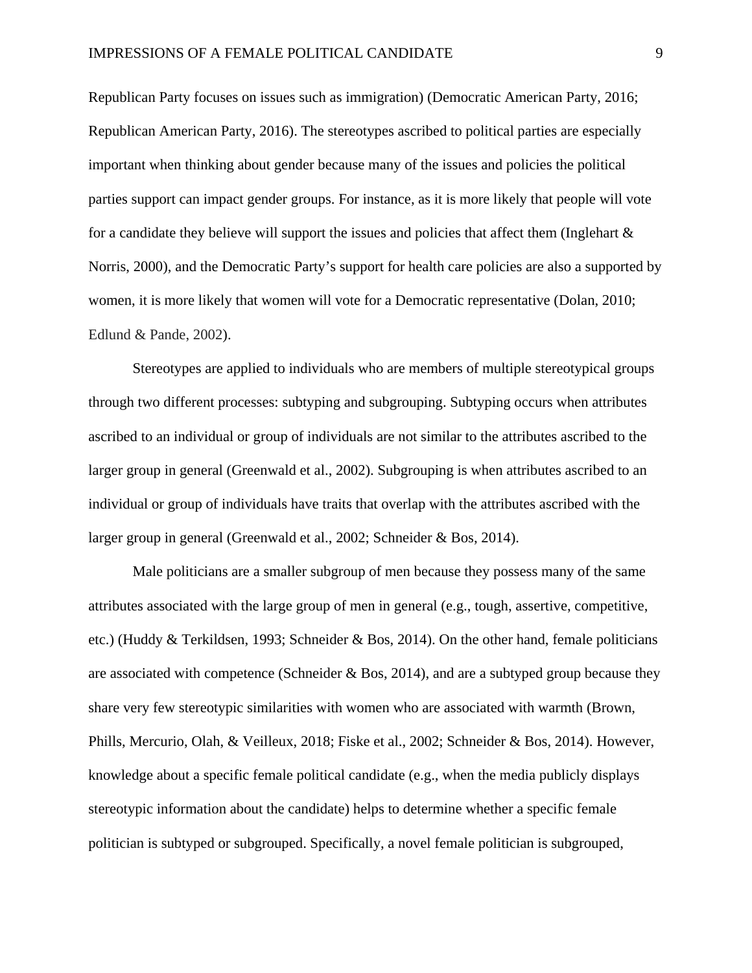Republican Party focuses on issues such as immigration) (Democratic American Party, 2016; Republican American Party, 2016). The stereotypes ascribed to political parties are especially important when thinking about gender because many of the issues and policies the political parties support can impact gender groups. For instance, as it is more likely that people will vote for a candidate they believe will support the issues and policies that affect them (Inglehart  $\&$ Norris, 2000), and the Democratic Party's support for health care policies are also a supported by women, it is more likely that women will vote for a Democratic representative (Dolan, 2010; Edlund & Pande, 2002).

Stereotypes are applied to individuals who are members of multiple stereotypical groups through two different processes: subtyping and subgrouping. Subtyping occurs when attributes ascribed to an individual or group of individuals are not similar to the attributes ascribed to the larger group in general (Greenwald et al., 2002). Subgrouping is when attributes ascribed to an individual or group of individuals have traits that overlap with the attributes ascribed with the larger group in general (Greenwald et al., 2002; Schneider & Bos, 2014).

Male politicians are a smaller subgroup of men because they possess many of the same attributes associated with the large group of men in general (e.g., tough, assertive, competitive, etc.) (Huddy & Terkildsen, 1993; Schneider & Bos, 2014). On the other hand, female politicians are associated with competence (Schneider  $\&$  Bos, 2014), and are a subtyped group because they share very few stereotypic similarities with women who are associated with warmth (Brown, Phills, Mercurio, Olah, & Veilleux, 2018; Fiske et al., 2002; Schneider & Bos, 2014). However, knowledge about a specific female political candidate (e.g., when the media publicly displays stereotypic information about the candidate) helps to determine whether a specific female politician is subtyped or subgrouped. Specifically, a novel female politician is subgrouped,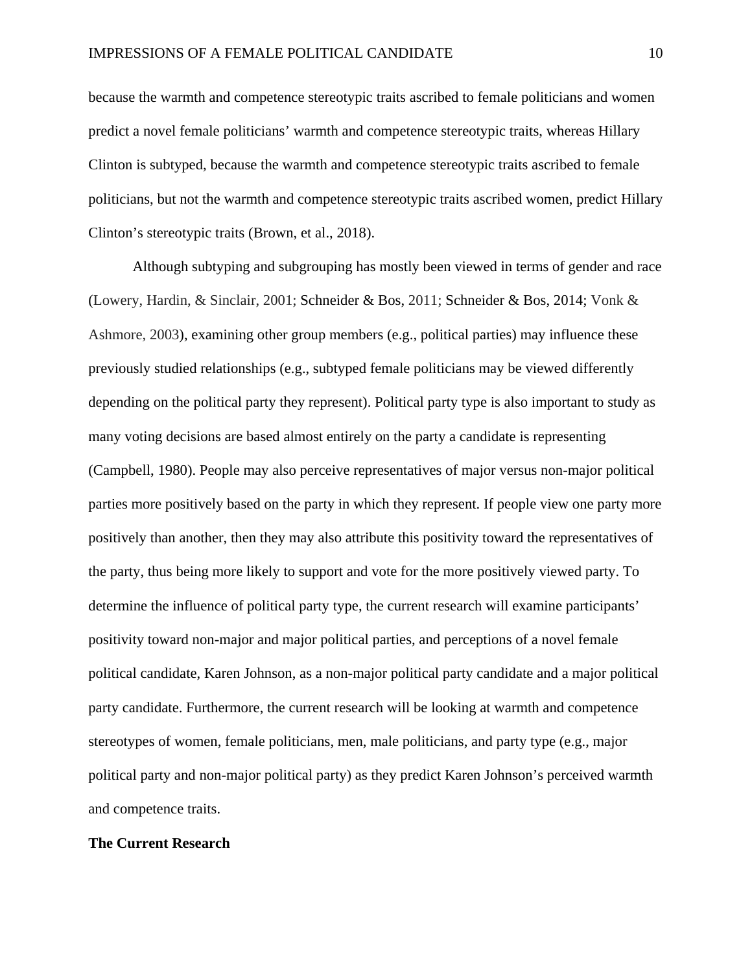because the warmth and competence stereotypic traits ascribed to female politicians and women predict a novel female politicians' warmth and competence stereotypic traits, whereas Hillary Clinton is subtyped, because the warmth and competence stereotypic traits ascribed to female politicians, but not the warmth and competence stereotypic traits ascribed women, predict Hillary Clinton's stereotypic traits (Brown, et al., 2018).

Although subtyping and subgrouping has mostly been viewed in terms of gender and race (Lowery, Hardin, & Sinclair, 2001; Schneider & Bos, 2011; Schneider & Bos, 2014; Vonk & Ashmore, 2003), examining other group members (e.g., political parties) may influence these previously studied relationships (e.g., subtyped female politicians may be viewed differently depending on the political party they represent). Political party type is also important to study as many voting decisions are based almost entirely on the party a candidate is representing (Campbell, 1980). People may also perceive representatives of major versus non-major political parties more positively based on the party in which they represent. If people view one party more positively than another, then they may also attribute this positivity toward the representatives of the party, thus being more likely to support and vote for the more positively viewed party. To determine the influence of political party type, the current research will examine participants' positivity toward non-major and major political parties, and perceptions of a novel female political candidate, Karen Johnson, as a non-major political party candidate and a major political party candidate. Furthermore, the current research will be looking at warmth and competence stereotypes of women, female politicians, men, male politicians, and party type (e.g., major political party and non-major political party) as they predict Karen Johnson's perceived warmth and competence traits.

### **The Current Research**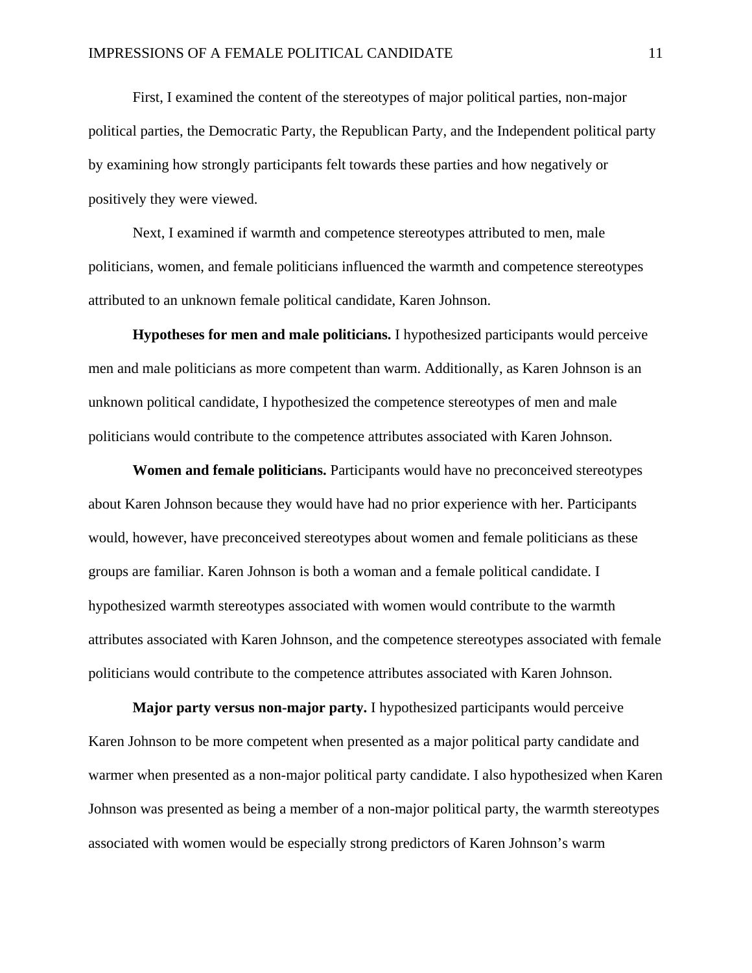First, I examined the content of the stereotypes of major political parties, non-major political parties, the Democratic Party, the Republican Party, and the Independent political party by examining how strongly participants felt towards these parties and how negatively or positively they were viewed.

Next, I examined if warmth and competence stereotypes attributed to men, male politicians, women, and female politicians influenced the warmth and competence stereotypes attributed to an unknown female political candidate, Karen Johnson.

**Hypotheses for men and male politicians.** I hypothesized participants would perceive men and male politicians as more competent than warm. Additionally, as Karen Johnson is an unknown political candidate, I hypothesized the competence stereotypes of men and male politicians would contribute to the competence attributes associated with Karen Johnson.

**Women and female politicians.** Participants would have no preconceived stereotypes about Karen Johnson because they would have had no prior experience with her. Participants would, however, have preconceived stereotypes about women and female politicians as these groups are familiar. Karen Johnson is both a woman and a female political candidate. I hypothesized warmth stereotypes associated with women would contribute to the warmth attributes associated with Karen Johnson, and the competence stereotypes associated with female politicians would contribute to the competence attributes associated with Karen Johnson.

**Major party versus non-major party.** I hypothesized participants would perceive Karen Johnson to be more competent when presented as a major political party candidate and warmer when presented as a non-major political party candidate. I also hypothesized when Karen Johnson was presented as being a member of a non-major political party, the warmth stereotypes associated with women would be especially strong predictors of Karen Johnson's warm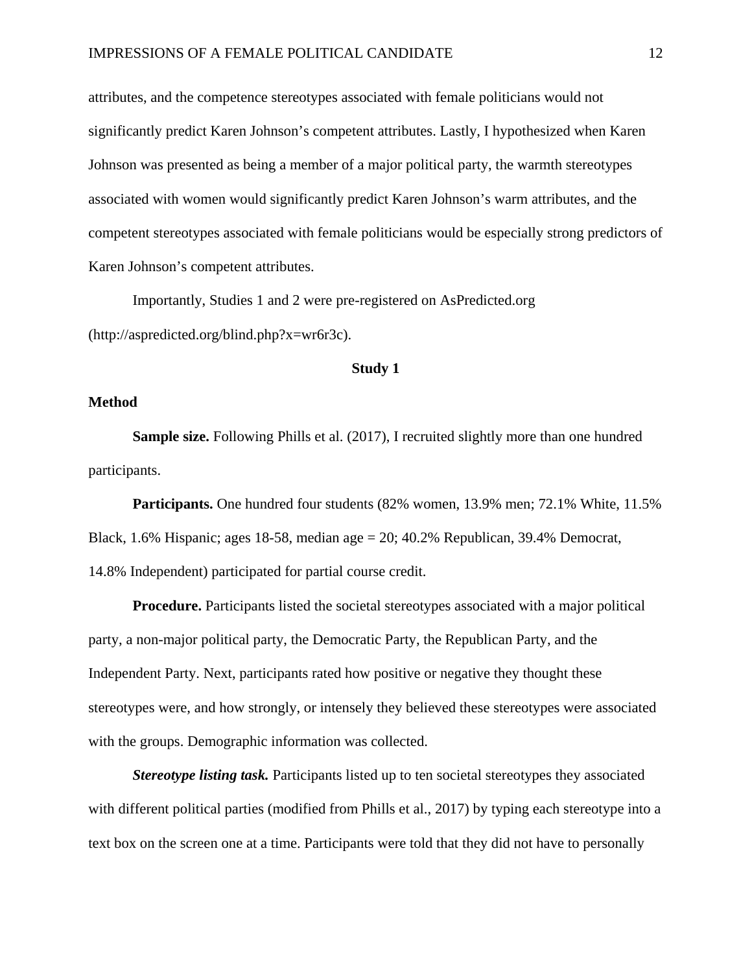attributes, and the competence stereotypes associated with female politicians would not significantly predict Karen Johnson's competent attributes. Lastly, I hypothesized when Karen Johnson was presented as being a member of a major political party, the warmth stereotypes associated with women would significantly predict Karen Johnson's warm attributes, and the competent stereotypes associated with female politicians would be especially strong predictors of Karen Johnson's competent attributes.

Importantly, Studies 1 and 2 were pre-registered on AsPredicted.org (http://aspredicted.org/blind.php?x=wr6r3c).

## **Study 1**

### **Method**

 **Sample size.** Following Phills et al. (2017), I recruited slightly more than one hundred participants.

**Participants.** One hundred four students (82% women, 13.9% men; 72.1% White, 11.5% Black, 1.6% Hispanic; ages 18-58, median age  $= 20$ ; 40.2% Republican, 39.4% Democrat, 14.8% Independent) participated for partial course credit.

**Procedure.** Participants listed the societal stereotypes associated with a major political party, a non-major political party, the Democratic Party, the Republican Party, and the Independent Party. Next, participants rated how positive or negative they thought these stereotypes were, and how strongly, or intensely they believed these stereotypes were associated with the groups. Demographic information was collected.

*Stereotype listing task.* Participants listed up to ten societal stereotypes they associated with different political parties (modified from Phills et al., 2017) by typing each stereotype into a text box on the screen one at a time. Participants were told that they did not have to personally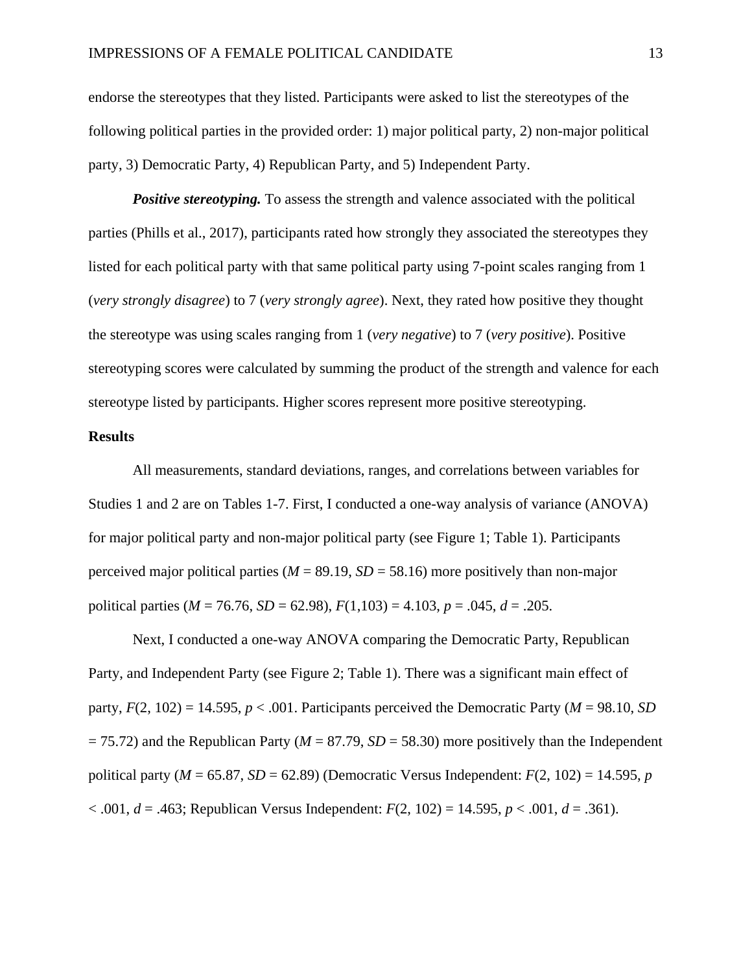endorse the stereotypes that they listed. Participants were asked to list the stereotypes of the following political parties in the provided order: 1) major political party, 2) non-major political party, 3) Democratic Party, 4) Republican Party, and 5) Independent Party.

**Positive stereotyping.** To assess the strength and valence associated with the political parties (Phills et al., 2017), participants rated how strongly they associated the stereotypes they listed for each political party with that same political party using 7-point scales ranging from 1 (*very strongly disagree*) to 7 (*very strongly agree*). Next, they rated how positive they thought the stereotype was using scales ranging from 1 (*very negative*) to 7 (*very positive*). Positive stereotyping scores were calculated by summing the product of the strength and valence for each stereotype listed by participants. Higher scores represent more positive stereotyping.

## **Results**

All measurements, standard deviations, ranges, and correlations between variables for Studies 1 and 2 are on Tables 1-7. First, I conducted a one-way analysis of variance (ANOVA) for major political party and non-major political party (see Figure 1; Table 1). Participants perceived major political parties ( $M = 89.19$ ,  $SD = 58.16$ ) more positively than non-major political parties ( $M = 76.76$ ,  $SD = 62.98$ ),  $F(1,103) = 4.103$ ,  $p = .045$ ,  $d = .205$ .

Next, I conducted a one-way ANOVA comparing the Democratic Party, Republican Party, and Independent Party (see Figure 2; Table 1). There was a significant main effect of party,  $F(2, 102) = 14.595$ ,  $p < .001$ . Participants perceived the Democratic Party ( $M = 98.10$ , *SD*)  $= 75.72$ ) and the Republican Party ( $M = 87.79$ ,  $SD = 58.30$ ) more positively than the Independent political party ( $M = 65.87$ ,  $SD = 62.89$ ) (Democratic Versus Independent:  $F(2, 102) = 14.595$ , *p* < .001, *d* = .463; Republican Versus Independent: *F*(2, 102) = 14.595, *p* < .001, *d* = .361).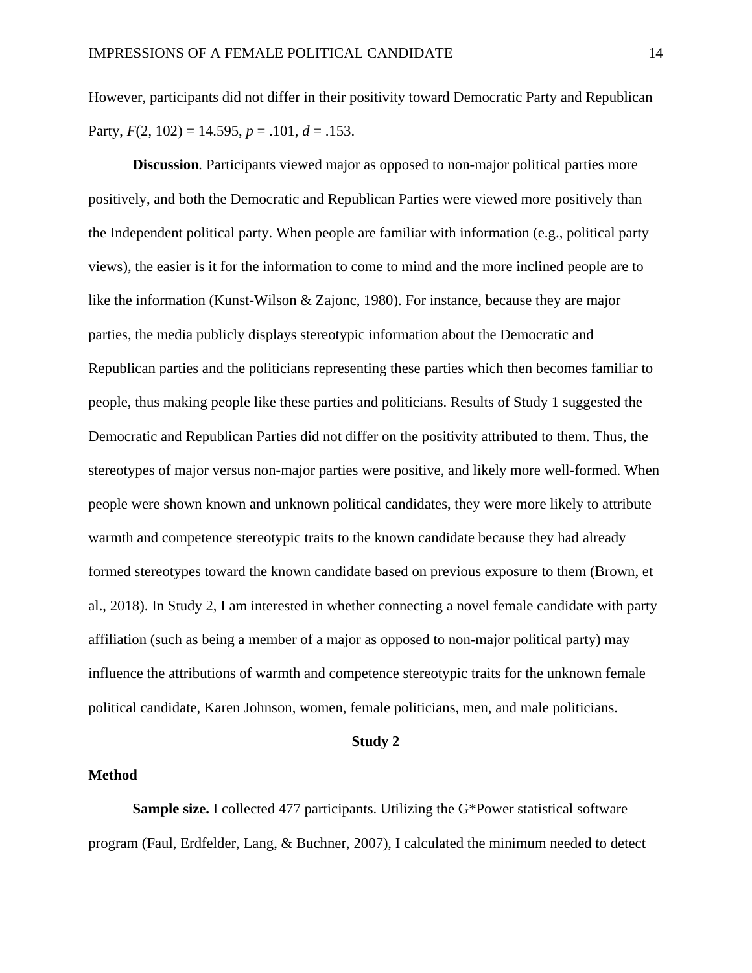However, participants did not differ in their positivity toward Democratic Party and Republican Party,  $F(2, 102) = 14.595$ ,  $p = .101$ ,  $d = .153$ .

**Discussion***.* Participants viewed major as opposed to non-major political parties more positively, and both the Democratic and Republican Parties were viewed more positively than the Independent political party. When people are familiar with information (e.g., political party views), the easier is it for the information to come to mind and the more inclined people are to like the information (Kunst-Wilson & Zajonc, 1980). For instance, because they are major parties, the media publicly displays stereotypic information about the Democratic and Republican parties and the politicians representing these parties which then becomes familiar to people, thus making people like these parties and politicians. Results of Study 1 suggested the Democratic and Republican Parties did not differ on the positivity attributed to them. Thus, the stereotypes of major versus non-major parties were positive, and likely more well-formed. When people were shown known and unknown political candidates, they were more likely to attribute warmth and competence stereotypic traits to the known candidate because they had already formed stereotypes toward the known candidate based on previous exposure to them (Brown, et al., 2018). In Study 2, I am interested in whether connecting a novel female candidate with party affiliation (such as being a member of a major as opposed to non-major political party) may influence the attributions of warmth and competence stereotypic traits for the unknown female political candidate, Karen Johnson, women, female politicians, men, and male politicians.

### **Study 2**

### **Method**

**Sample size.** I collected 477 participants. Utilizing the G\*Power statistical software program (Faul, Erdfelder, Lang, & Buchner, 2007), I calculated the minimum needed to detect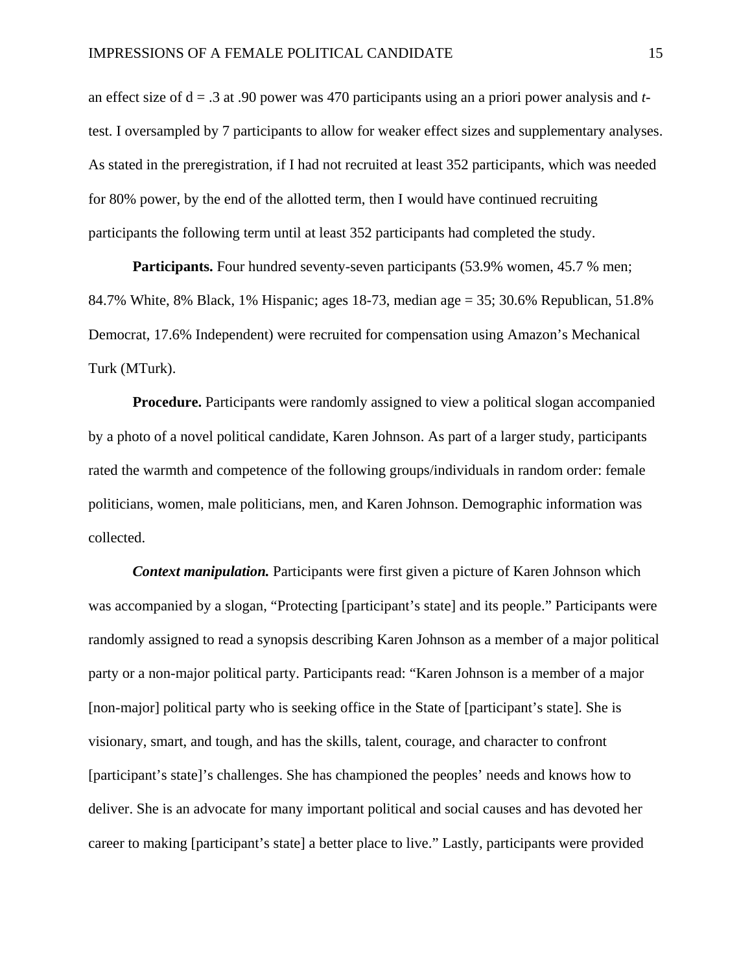an effect size of d = .3 at .90 power was 470 participants using an a priori power analysis and *t*test. I oversampled by 7 participants to allow for weaker effect sizes and supplementary analyses. As stated in the preregistration, if I had not recruited at least 352 participants, which was needed for 80% power, by the end of the allotted term, then I would have continued recruiting participants the following term until at least 352 participants had completed the study.

**Participants.** Four hundred seventy-seven participants (53.9% women, 45.7 % men; 84.7% White, 8% Black, 1% Hispanic; ages 18-73, median age = 35; 30.6% Republican, 51.8% Democrat, 17.6% Independent) were recruited for compensation using Amazon's Mechanical Turk (MTurk).

**Procedure.** Participants were randomly assigned to view a political slogan accompanied by a photo of a novel political candidate, Karen Johnson. As part of a larger study, participants rated the warmth and competence of the following groups/individuals in random order: female politicians, women, male politicians, men, and Karen Johnson. Demographic information was collected.

*Context manipulation.* Participants were first given a picture of Karen Johnson which was accompanied by a slogan, "Protecting [participant's state] and its people." Participants were randomly assigned to read a synopsis describing Karen Johnson as a member of a major political party or a non-major political party. Participants read: "Karen Johnson is a member of a major [non-major] political party who is seeking office in the State of [participant's state]. She is visionary, smart, and tough, and has the skills, talent, courage, and character to confront [participant's state]'s challenges. She has championed the peoples' needs and knows how to deliver. She is an advocate for many important political and social causes and has devoted her career to making [participant's state] a better place to live." Lastly, participants were provided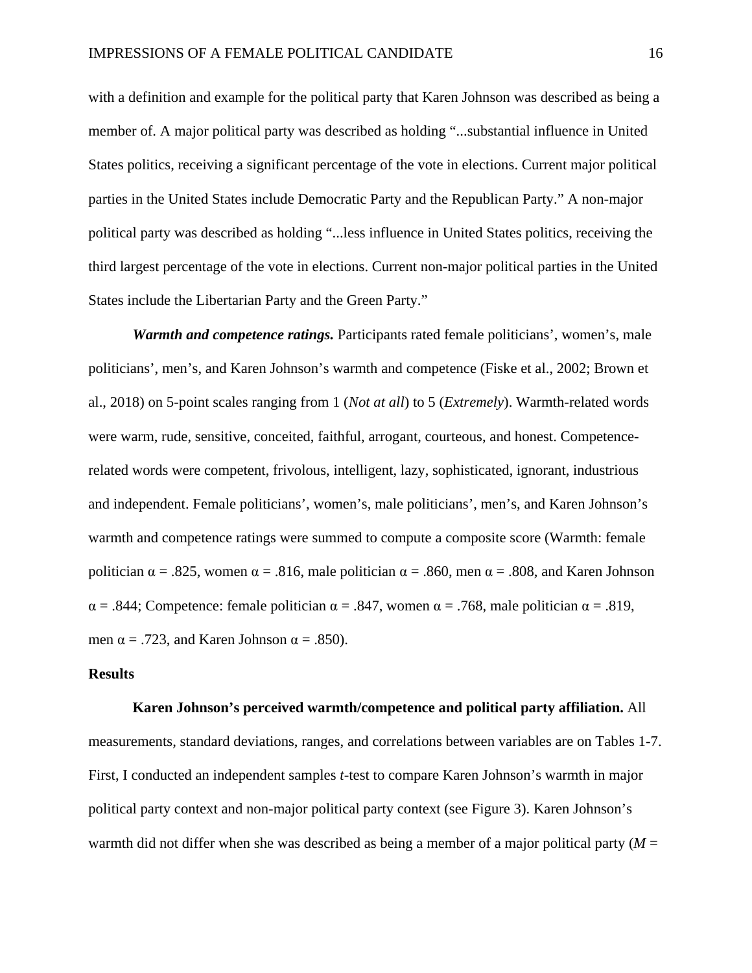with a definition and example for the political party that Karen Johnson was described as being a member of. A major political party was described as holding "...substantial influence in United States politics, receiving a significant percentage of the vote in elections. Current major political parties in the United States include Democratic Party and the Republican Party." A non-major political party was described as holding "...less influence in United States politics, receiving the third largest percentage of the vote in elections. Current non-major political parties in the United States include the Libertarian Party and the Green Party."

*Warmth and competence ratings.* Participants rated female politicians', women's, male politicians', men's, and Karen Johnson's warmth and competence (Fiske et al., 2002; Brown et al., 2018) on 5-point scales ranging from 1 (*Not at all*) to 5 (*Extremely*). Warmth-related words were warm, rude, sensitive, conceited, faithful, arrogant, courteous, and honest. Competencerelated words were competent, frivolous, intelligent, lazy, sophisticated, ignorant, industrious and independent. Female politicians', women's, male politicians', men's, and Karen Johnson's warmth and competence ratings were summed to compute a composite score (Warmth: female politician  $\alpha = .825$ , women  $\alpha = .816$ , male politician  $\alpha = .860$ , men  $\alpha = .808$ , and Karen Johnson  $\alpha = .844$ ; Competence: female politician  $\alpha = .847$ , women  $\alpha = .768$ , male politician  $\alpha = .819$ , men  $\alpha$  = .723, and Karen Johnson  $\alpha$  = .850).

## **Results**

## **Karen Johnson's perceived warmth/competence and political party affiliation.** All

measurements, standard deviations, ranges, and correlations between variables are on Tables 1-7. First, I conducted an independent samples *t*-test to compare Karen Johnson's warmth in major political party context and non-major political party context (see Figure 3). Karen Johnson's warmth did not differ when she was described as being a member of a major political party (*M* =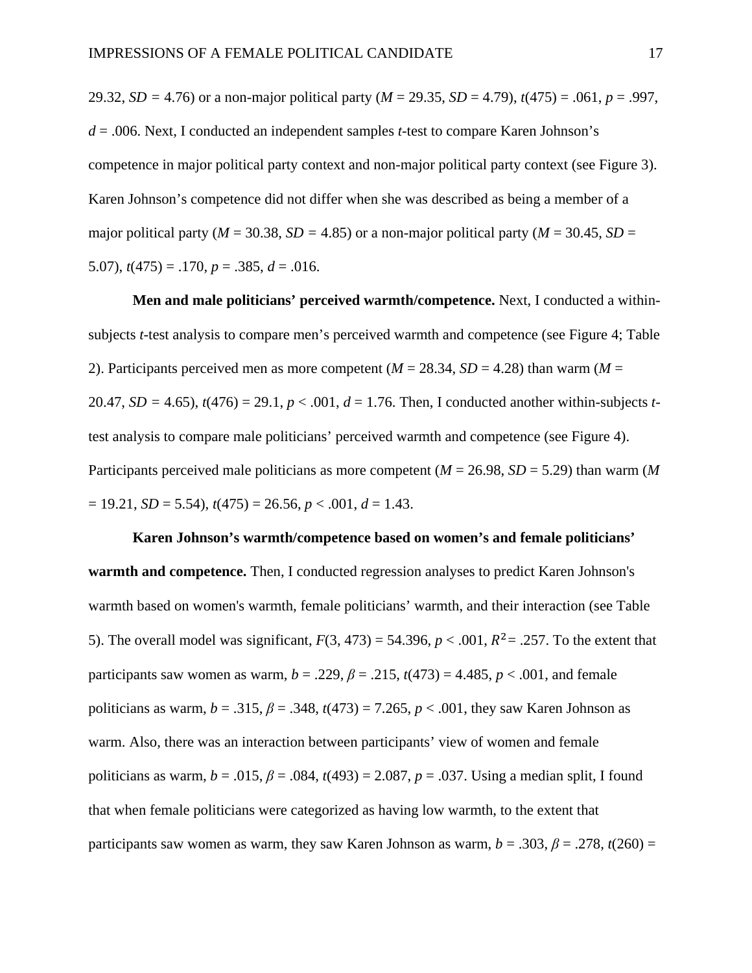29.32, *SD =* 4.76) or a non-major political party (*M* = 29.35, *SD* = 4.79), *t*(475) = .061, *p* = .997, *d* = .006. Next, I conducted an independent samples *t*-test to compare Karen Johnson's competence in major political party context and non-major political party context (see Figure 3). Karen Johnson's competence did not differ when she was described as being a member of a major political party ( $M = 30.38$ ,  $SD = 4.85$ ) or a non-major political party ( $M = 30.45$ ,  $SD =$ 5.07),  $t(475) = .170$ ,  $p = .385$ ,  $d = .016$ .

**Men and male politicians' perceived warmth/competence.** Next, I conducted a withinsubjects *t*-test analysis to compare men's perceived warmth and competence (see Figure 4; Table 2). Participants perceived men as more competent ( $M = 28.34$ ,  $SD = 4.28$ ) than warm ( $M =$ 20.47, *SD* = 4.65),  $t(476) = 29.1$ ,  $p < .001$ ,  $d = 1.76$ . Then, I conducted another within-subjects *t*test analysis to compare male politicians' perceived warmth and competence (see Figure 4). Participants perceived male politicians as more competent (*M* = 26.98, *SD* = 5.29) than warm (*M*   $= 19.21, SD = 5.54, t(475) = 26.56, p < .001, d = 1.43.$ 

# **Karen Johnson's warmth/competence based on women's and female politicians' warmth and competence.** Then, I conducted regression analyses to predict Karen Johnson's warmth based on women's warmth, female politicians' warmth, and their interaction (see Table 5). The overall model was significant,  $F(3, 473) = 54.396$ ,  $p < .001$ ,  $R^2 = .257$ . To the extent that participants saw women as warm,  $b = .229$ ,  $\beta = .215$ ,  $t(473) = 4.485$ ,  $p < .001$ , and female politicians as warm,  $b = .315$ ,  $\beta = .348$ ,  $t(473) = 7.265$ ,  $p < .001$ , they saw Karen Johnson as warm. Also, there was an interaction between participants' view of women and female politicians as warm, *b* = .015, *β* = .084, *t*(493) = 2.087, *p* = .037. Using a median split, I found that when female politicians were categorized as having low warmth, to the extent that participants saw women as warm, they saw Karen Johnson as warm,  $b = .303$ ,  $\beta = .278$ ,  $t(260) =$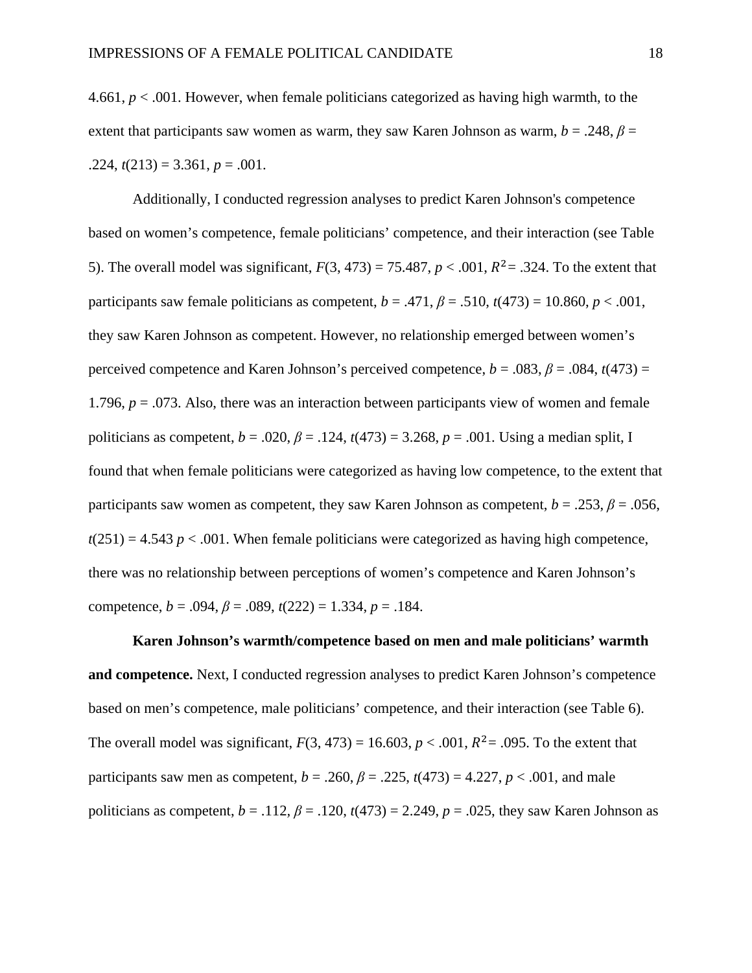4.661, *p* < .001. However, when female politicians categorized as having high warmth, to the extent that participants saw women as warm, they saw Karen Johnson as warm,  $b = .248$ ,  $\beta =$  $.224, t(213) = 3.361, p = .001.$ 

Additionally, I conducted regression analyses to predict Karen Johnson's competence based on women's competence, female politicians' competence, and their interaction (see Table 5). The overall model was significant,  $F(3, 473) = 75.487$ ,  $p < .001$ ,  $R^2 = .324$ . To the extent that participants saw female politicians as competent,  $b = .471$ ,  $\beta = .510$ ,  $t(473) = 10.860$ ,  $p < .001$ , they saw Karen Johnson as competent. However, no relationship emerged between women's perceived competence and Karen Johnson's perceived competence,  $b = .083$ ,  $\beta = .084$ ,  $t(473) =$ 1.796,  $p = 0.073$ . Also, there was an interaction between participants view of women and female politicians as competent, *b* = .020, *β* = .124, *t*(473) = 3.268, *p* = .001. Using a median split, I found that when female politicians were categorized as having low competence, to the extent that participants saw women as competent, they saw Karen Johnson as competent,  $b = .253$ ,  $\beta = .056$ ,  $t(251) = 4.543 p < .001$ . When female politicians were categorized as having high competence, there was no relationship between perceptions of women's competence and Karen Johnson's competence,  $b = .094$ ,  $\beta = .089$ ,  $t(222) = 1.334$ ,  $p = .184$ .

**Karen Johnson's warmth/competence based on men and male politicians' warmth and competence.** Next, I conducted regression analyses to predict Karen Johnson's competence based on men's competence, male politicians' competence, and their interaction (see Table 6). The overall model was significant,  $F(3, 473) = 16.603$ ,  $p < .001$ ,  $R^2 = .095$ . To the extent that participants saw men as competent,  $b = .260$ ,  $\beta = .225$ ,  $t(473) = 4.227$ ,  $p < .001$ , and male politicians as competent,  $b = .112$ ,  $\beta = .120$ ,  $t(473) = 2.249$ ,  $p = .025$ , they saw Karen Johnson as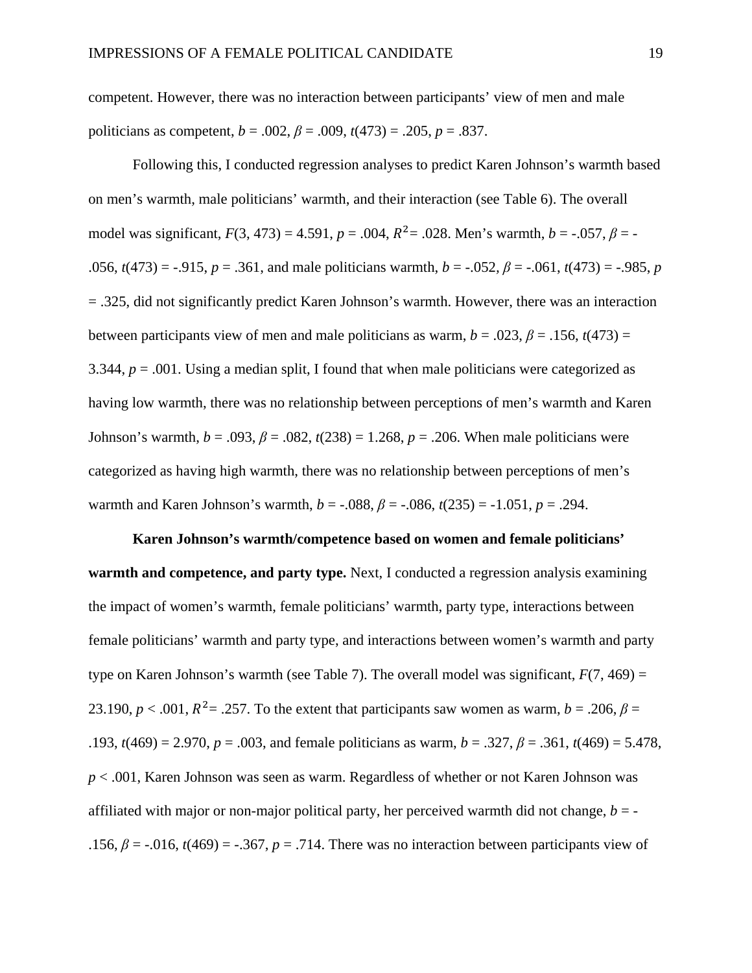competent. However, there was no interaction between participants' view of men and male politicians as competent,  $b = .002$ ,  $\beta = .009$ ,  $t(473) = .205$ ,  $p = .837$ .

Following this, I conducted regression analyses to predict Karen Johnson's warmth based on men's warmth, male politicians' warmth, and their interaction (see Table 6). The overall model was significant,  $F(3, 473) = 4.591$ ,  $p = .004$ ,  $R^2 = .028$ . Men's warmth,  $b = -.057$ ,  $\beta = -$ .056,  $t(473) = -0.915$ ,  $p = 0.361$ , and male politicians warmth,  $b = -0.052$ ,  $\beta = -0.061$ ,  $t(473) = -0.985$ , *p* = .325, did not significantly predict Karen Johnson's warmth. However, there was an interaction between participants view of men and male politicians as warm,  $b = .023$ ,  $\beta = .156$ ,  $t(473) =$ 3.344, *p* = .001. Using a median split, I found that when male politicians were categorized as having low warmth, there was no relationship between perceptions of men's warmth and Karen Johnson's warmth,  $b = .093$ ,  $β = .082$ ,  $t(238) = 1.268$ ,  $p = .206$ . When male politicians were categorized as having high warmth, there was no relationship between perceptions of men's warmth and Karen Johnson's warmth,  $b = -.088$ ,  $\beta = -.086$ ,  $t(235) = -1.051$ ,  $p = .294$ .

**Karen Johnson's warmth/competence based on women and female politicians' warmth and competence, and party type.** Next, I conducted a regression analysis examining the impact of women's warmth, female politicians' warmth, party type, interactions between female politicians' warmth and party type, and interactions between women's warmth and party type on Karen Johnson's warmth (see Table 7). The overall model was significant,  $F(7, 469) =$ 23.190,  $p < .001$ ,  $R^2 = .257$ . To the extent that participants saw women as warm,  $b = .206$ ,  $\beta =$ .193,  $t(469) = 2.970$ ,  $p = .003$ , and female politicians as warm,  $b = .327$ ,  $\beta = .361$ ,  $t(469) = 5.478$ , *p* < .001, Karen Johnson was seen as warm. Regardless of whether or not Karen Johnson was affiliated with major or non-major political party, her perceived warmth did not change,  $b = -$ .156,  $\beta$  = -.016,  $t(469)$  = -.367,  $p = .714$ . There was no interaction between participants view of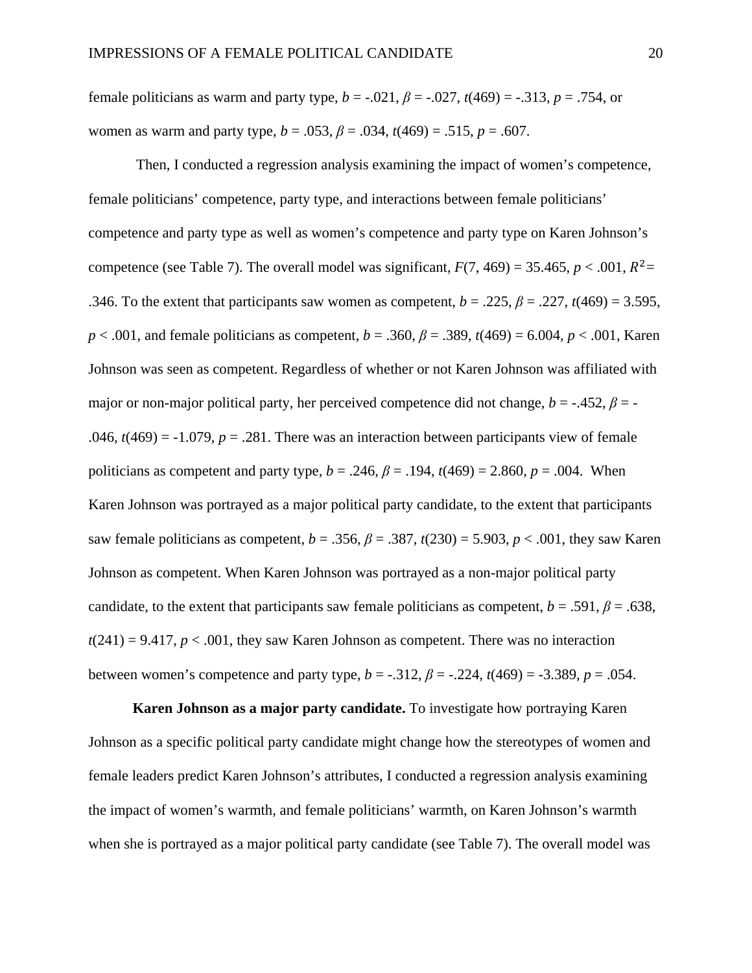female politicians as warm and party type,  $b = -.021$ ,  $\beta = -.027$ ,  $t(469) = -.313$ ,  $p = .754$ , or women as warm and party type,  $b = .053$ ,  $\beta = .034$ ,  $t(469) = .515$ ,  $p = .607$ .

 Then, I conducted a regression analysis examining the impact of women's competence, female politicians' competence, party type, and interactions between female politicians' competence and party type as well as women's competence and party type on Karen Johnson's competence (see Table 7). The overall model was significant,  $F(7, 469) = 35.465$ ,  $p < .001$ ,  $R^2 =$ .346. To the extent that participants saw women as competent,  $b = .225$ ,  $\beta = .227$ ,  $t(469) = 3.595$ , *p* < .001, and female politicians as competent, *b* = .360, *β* = .389, *t*(469) = 6.004, *p* < .001, Karen Johnson was seen as competent. Regardless of whether or not Karen Johnson was affiliated with major or non-major political party, her perceived competence did not change,  $b = -0.452$ ,  $\beta = -0.452$ .046,  $t(469) = -1.079$ ,  $p = .281$ . There was an interaction between participants view of female politicians as competent and party type,  $b = .246$ ,  $\beta = .194$ ,  $t(469) = 2.860$ ,  $p = .004$ . When Karen Johnson was portrayed as a major political party candidate, to the extent that participants saw female politicians as competent,  $b = .356$ ,  $\beta = .387$ ,  $t(230) = 5.903$ ,  $p < .001$ , they saw Karen Johnson as competent. When Karen Johnson was portrayed as a non-major political party candidate, to the extent that participants saw female politicians as competent,  $b = .591$ ,  $\beta = .638$ ,  $t(241) = 9.417$ ,  $p < .001$ , they saw Karen Johnson as competent. There was no interaction between women's competence and party type,  $b = -.312$ ,  $\beta = -.224$ ,  $t(469) = .3389$ ,  $p = .054$ .

**Karen Johnson as a major party candidate.** To investigate how portraying Karen Johnson as a specific political party candidate might change how the stereotypes of women and female leaders predict Karen Johnson's attributes, I conducted a regression analysis examining the impact of women's warmth, and female politicians' warmth, on Karen Johnson's warmth when she is portrayed as a major political party candidate (see Table 7). The overall model was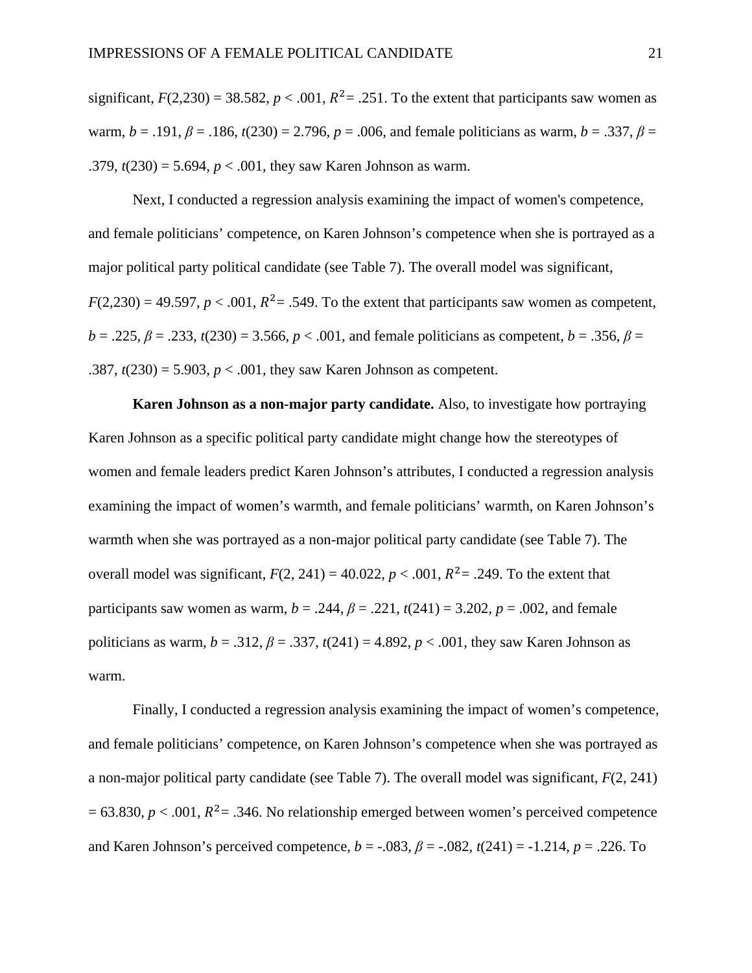significant,  $F(2,230) = 38.582$ ,  $p < .001$ ,  $R^2 = .251$ . To the extent that participants saw women as warm, *b* = .191, *β* = .186, *t*(230) = 2.796, *p* = .006, and female politicians as warm, *b* = .337, *β* = .379,  $t(230) = 5.694$ ,  $p < .001$ , they saw Karen Johnson as warm.

Next, I conducted a regression analysis examining the impact of women's competence, and female politicians' competence, on Karen Johnson's competence when she is portrayed as a major political party political candidate (see Table 7). The overall model was significant,  $F(2,230) = 49.597$ ,  $p < .001$ ,  $R^2 = .549$ . To the extent that participants saw women as competent,  $b = .225$ ,  $\beta = .233$ ,  $t(230) = 3.566$ ,  $p < .001$ , and female politicians as competent,  $b = .356$ ,  $\beta =$ .387,  $t(230) = 5.903$ ,  $p < .001$ , they saw Karen Johnson as competent.

**Karen Johnson as a non-major party candidate.** Also, to investigate how portraying Karen Johnson as a specific political party candidate might change how the stereotypes of women and female leaders predict Karen Johnson's attributes, I conducted a regression analysis examining the impact of women's warmth, and female politicians' warmth, on Karen Johnson's warmth when she was portrayed as a non-major political party candidate (see Table 7). The overall model was significant,  $F(2, 241) = 40.022$ ,  $p < .001$ ,  $R^2 = .249$ . To the extent that participants saw women as warm,  $b = .244$ ,  $\beta = .221$ ,  $t(241) = 3.202$ ,  $p = .002$ , and female politicians as warm,  $b = .312$ ,  $\beta = .337$ ,  $t(241) = 4.892$ ,  $p < .001$ , they saw Karen Johnson as warm.

Finally, I conducted a regression analysis examining the impact of women's competence, and female politicians' competence, on Karen Johnson's competence when she was portrayed as a non-major political party candidate (see Table 7). The overall model was significant, *F*(2, 241)  $= 63.830, p < .001, R<sup>2</sup>= .346$ . No relationship emerged between women's perceived competence and Karen Johnson's perceived competence,  $b = -.083$ ,  $\beta = -.082$ ,  $t(241) = -1.214$ ,  $p = .226$ . To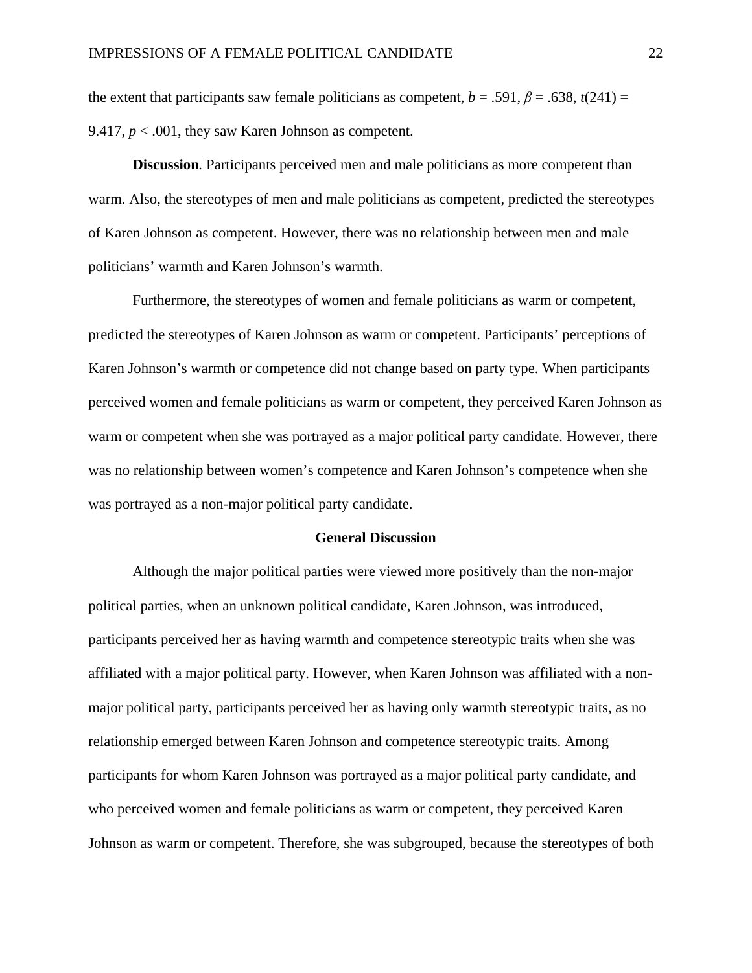the extent that participants saw female politicians as competent,  $b = .591$ ,  $\beta = .638$ ,  $t(241) =$ 9.417,  $p < .001$ , they saw Karen Johnson as competent.

**Discussion***.* Participants perceived men and male politicians as more competent than warm. Also, the stereotypes of men and male politicians as competent, predicted the stereotypes of Karen Johnson as competent. However, there was no relationship between men and male politicians' warmth and Karen Johnson's warmth.

Furthermore, the stereotypes of women and female politicians as warm or competent, predicted the stereotypes of Karen Johnson as warm or competent. Participants' perceptions of Karen Johnson's warmth or competence did not change based on party type. When participants perceived women and female politicians as warm or competent, they perceived Karen Johnson as warm or competent when she was portrayed as a major political party candidate. However, there was no relationship between women's competence and Karen Johnson's competence when she was portrayed as a non-major political party candidate.

### **General Discussion**

Although the major political parties were viewed more positively than the non-major political parties, when an unknown political candidate, Karen Johnson, was introduced, participants perceived her as having warmth and competence stereotypic traits when she was affiliated with a major political party. However, when Karen Johnson was affiliated with a nonmajor political party, participants perceived her as having only warmth stereotypic traits, as no relationship emerged between Karen Johnson and competence stereotypic traits. Among participants for whom Karen Johnson was portrayed as a major political party candidate, and who perceived women and female politicians as warm or competent, they perceived Karen Johnson as warm or competent. Therefore, she was subgrouped, because the stereotypes of both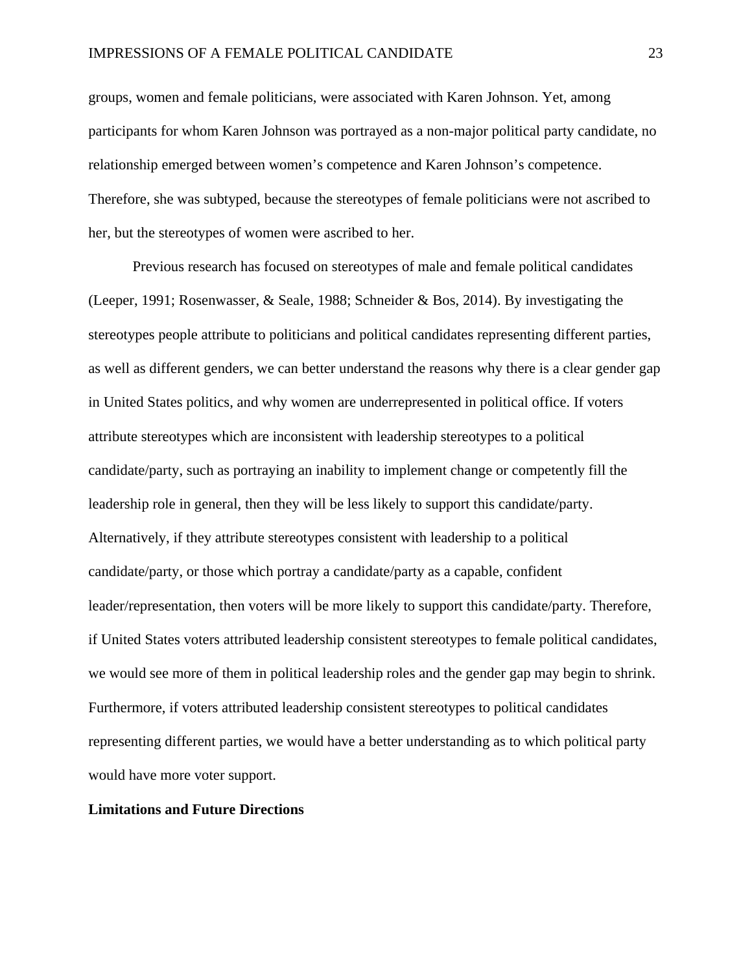groups, women and female politicians, were associated with Karen Johnson. Yet, among participants for whom Karen Johnson was portrayed as a non-major political party candidate, no relationship emerged between women's competence and Karen Johnson's competence. Therefore, she was subtyped, because the stereotypes of female politicians were not ascribed to her, but the stereotypes of women were ascribed to her.

Previous research has focused on stereotypes of male and female political candidates (Leeper, 1991; Rosenwasser, & Seale, 1988; Schneider & Bos, 2014). By investigating the stereotypes people attribute to politicians and political candidates representing different parties, as well as different genders, we can better understand the reasons why there is a clear gender gap in United States politics, and why women are underrepresented in political office. If voters attribute stereotypes which are inconsistent with leadership stereotypes to a political candidate/party, such as portraying an inability to implement change or competently fill the leadership role in general, then they will be less likely to support this candidate/party. Alternatively, if they attribute stereotypes consistent with leadership to a political candidate/party, or those which portray a candidate/party as a capable, confident leader/representation, then voters will be more likely to support this candidate/party. Therefore, if United States voters attributed leadership consistent stereotypes to female political candidates, we would see more of them in political leadership roles and the gender gap may begin to shrink. Furthermore, if voters attributed leadership consistent stereotypes to political candidates representing different parties, we would have a better understanding as to which political party would have more voter support.

## **Limitations and Future Directions**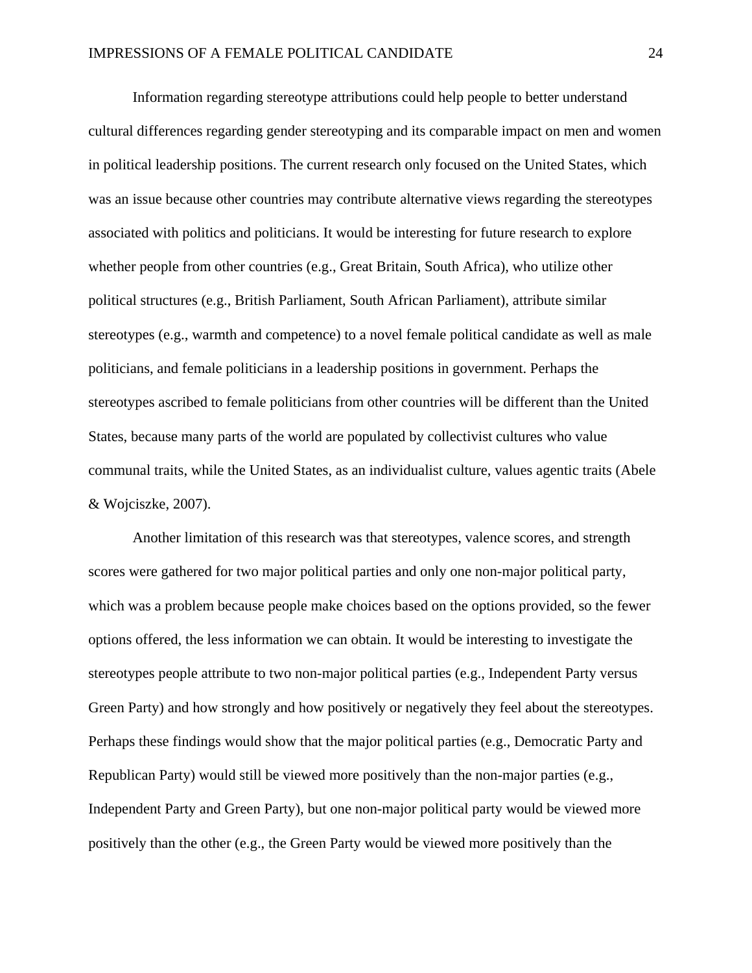Information regarding stereotype attributions could help people to better understand cultural differences regarding gender stereotyping and its comparable impact on men and women in political leadership positions. The current research only focused on the United States, which was an issue because other countries may contribute alternative views regarding the stereotypes associated with politics and politicians. It would be interesting for future research to explore whether people from other countries (e.g., Great Britain, South Africa), who utilize other political structures (e.g., British Parliament, South African Parliament), attribute similar stereotypes (e.g., warmth and competence) to a novel female political candidate as well as male politicians, and female politicians in a leadership positions in government. Perhaps the stereotypes ascribed to female politicians from other countries will be different than the United States, because many parts of the world are populated by collectivist cultures who value communal traits, while the United States, as an individualist culture, values agentic traits (Abele & Wojciszke, 2007).

Another limitation of this research was that stereotypes, valence scores, and strength scores were gathered for two major political parties and only one non-major political party, which was a problem because people make choices based on the options provided, so the fewer options offered, the less information we can obtain. It would be interesting to investigate the stereotypes people attribute to two non-major political parties (e.g., Independent Party versus Green Party) and how strongly and how positively or negatively they feel about the stereotypes. Perhaps these findings would show that the major political parties (e.g., Democratic Party and Republican Party) would still be viewed more positively than the non-major parties (e.g., Independent Party and Green Party), but one non-major political party would be viewed more positively than the other (e.g., the Green Party would be viewed more positively than the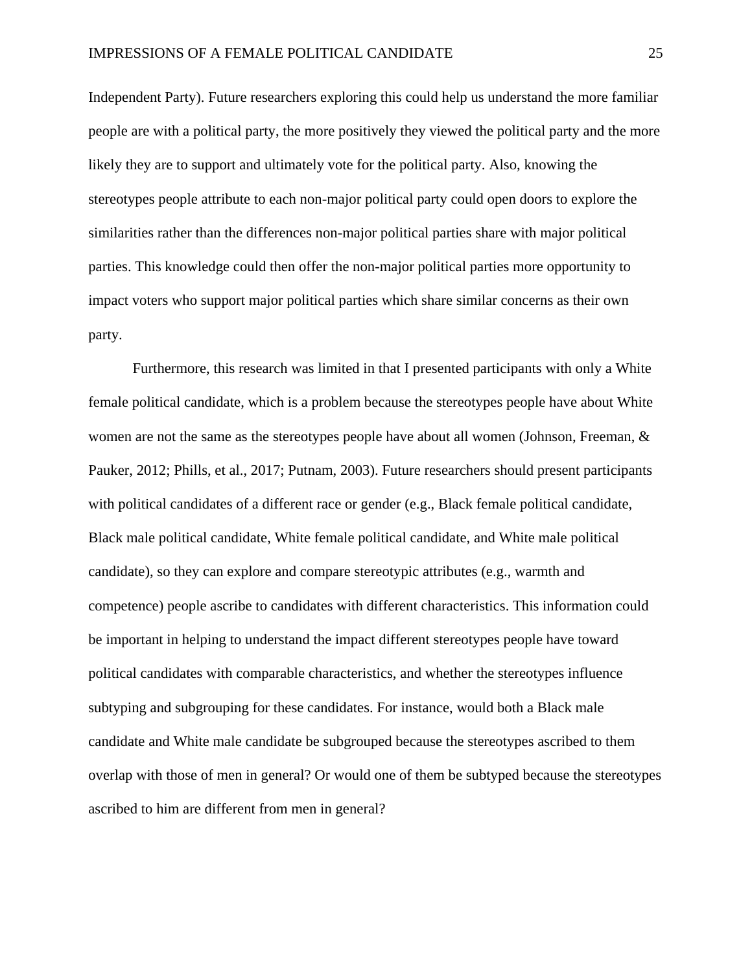Independent Party). Future researchers exploring this could help us understand the more familiar people are with a political party, the more positively they viewed the political party and the more likely they are to support and ultimately vote for the political party. Also, knowing the stereotypes people attribute to each non-major political party could open doors to explore the similarities rather than the differences non-major political parties share with major political parties. This knowledge could then offer the non-major political parties more opportunity to impact voters who support major political parties which share similar concerns as their own party.

Furthermore, this research was limited in that I presented participants with only a White female political candidate, which is a problem because the stereotypes people have about White women are not the same as the stereotypes people have about all women (Johnson, Freeman, & Pauker, 2012; Phills, et al., 2017; Putnam, 2003). Future researchers should present participants with political candidates of a different race or gender (e.g., Black female political candidate, Black male political candidate, White female political candidate, and White male political candidate), so they can explore and compare stereotypic attributes (e.g., warmth and competence) people ascribe to candidates with different characteristics. This information could be important in helping to understand the impact different stereotypes people have toward political candidates with comparable characteristics, and whether the stereotypes influence subtyping and subgrouping for these candidates. For instance, would both a Black male candidate and White male candidate be subgrouped because the stereotypes ascribed to them overlap with those of men in general? Or would one of them be subtyped because the stereotypes ascribed to him are different from men in general?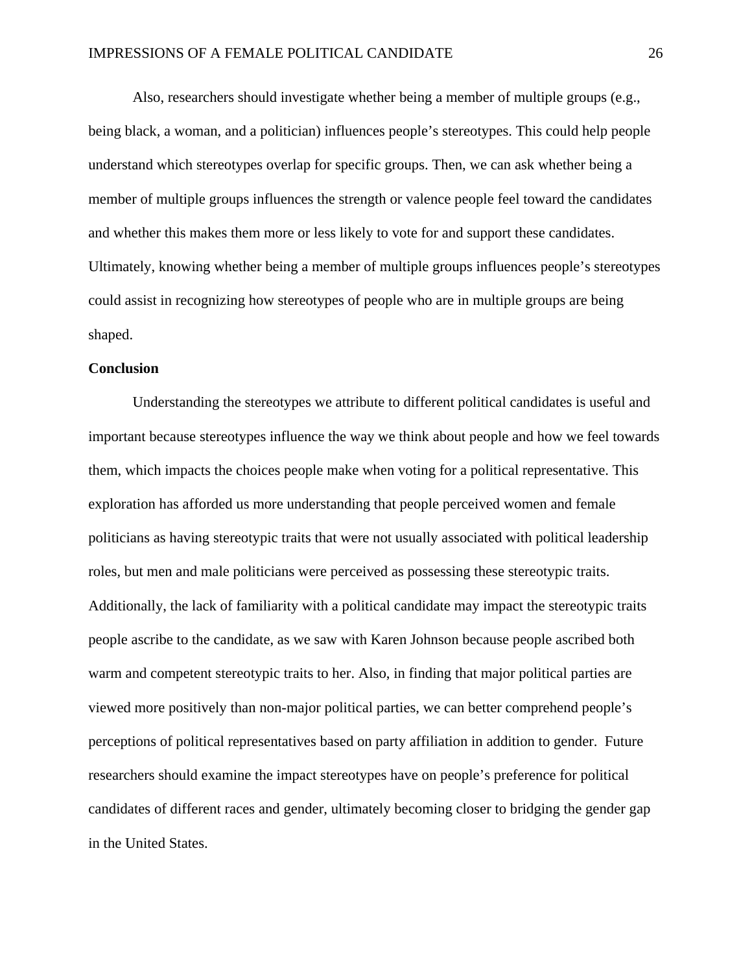Also, researchers should investigate whether being a member of multiple groups (e.g., being black, a woman, and a politician) influences people's stereotypes. This could help people understand which stereotypes overlap for specific groups. Then, we can ask whether being a member of multiple groups influences the strength or valence people feel toward the candidates and whether this makes them more or less likely to vote for and support these candidates. Ultimately, knowing whether being a member of multiple groups influences people's stereotypes could assist in recognizing how stereotypes of people who are in multiple groups are being shaped.

## **Conclusion**

Understanding the stereotypes we attribute to different political candidates is useful and important because stereotypes influence the way we think about people and how we feel towards them, which impacts the choices people make when voting for a political representative. This exploration has afforded us more understanding that people perceived women and female politicians as having stereotypic traits that were not usually associated with political leadership roles, but men and male politicians were perceived as possessing these stereotypic traits. Additionally, the lack of familiarity with a political candidate may impact the stereotypic traits people ascribe to the candidate, as we saw with Karen Johnson because people ascribed both warm and competent stereotypic traits to her. Also, in finding that major political parties are viewed more positively than non-major political parties, we can better comprehend people's perceptions of political representatives based on party affiliation in addition to gender. Future researchers should examine the impact stereotypes have on people's preference for political candidates of different races and gender, ultimately becoming closer to bridging the gender gap in the United States.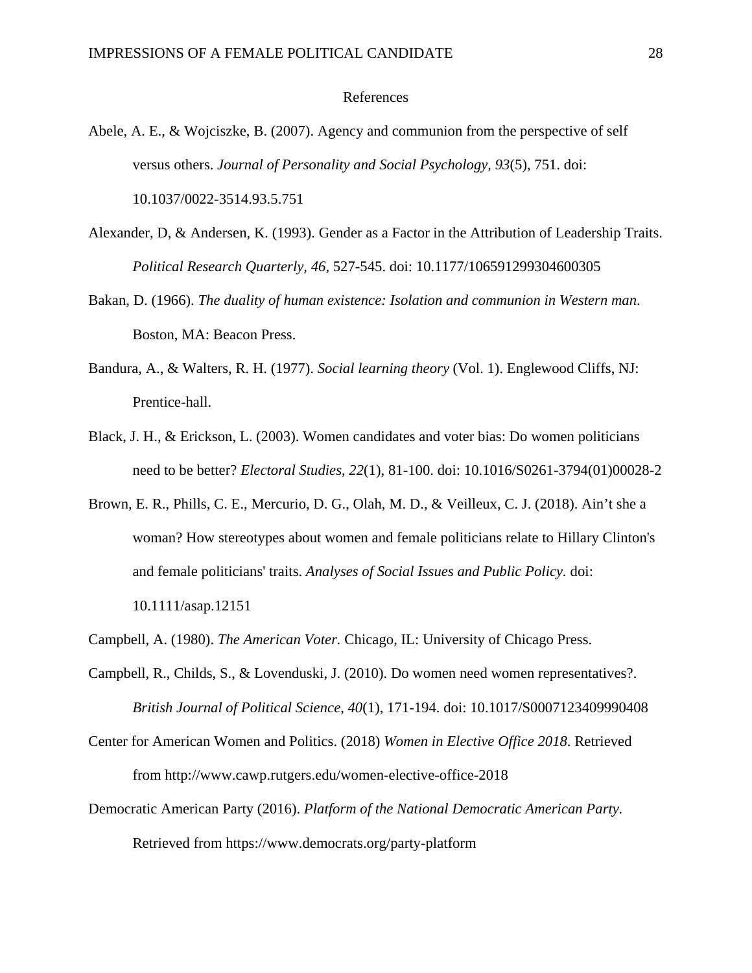### References

- Abele, A. E., & Wojciszke, B. (2007). Agency and communion from the perspective of self versus others. *Journal of Personality and Social Psychology, 93*(5), 751. doi: 10.1037/0022-3514.93.5.751
- Alexander, D, & Andersen, K. (1993). Gender as a Factor in the Attribution of Leadership Traits. *Political Research Quarterly, 46*, 527-545. doi: 10.1177/106591299304600305
- Bakan, D. (1966). *The duality of human existence: Isolation and communion in Western man*. Boston, MA: Beacon Press.
- Bandura, A., & Walters, R. H. (1977). *Social learning theory* (Vol. 1). Englewood Cliffs, NJ: Prentice-hall.
- Black, J. H., & Erickson, L. (2003). Women candidates and voter bias: Do women politicians need to be better? *Electoral Studies, 22*(1), 81-100. doi: 10.1016/S0261-3794(01)00028-2
- Brown, E. R., Phills, C. E., Mercurio, D. G., Olah, M. D., & Veilleux, C. J. (2018). Ain't she a woman? How stereotypes about women and female politicians relate to Hillary Clinton's and female politicians' traits. *Analyses of Social Issues and Public Policy.* doi: 10.1111/asap.12151
- Campbell, A. (1980). *The American Voter.* Chicago, IL: University of Chicago Press.
- Campbell, R., Childs, S., & Lovenduski, J. (2010). Do women need women representatives?. *British Journal of Political Science*, *40*(1), 171-194. doi: 10.1017/S0007123409990408
- Center for American Women and Politics. (2018) *Women in Elective Office 2018*. Retrieved from http://www.cawp.rutgers.edu/women-elective-office-2018
- Democratic American Party (2016). *Platform of the National Democratic American Party.* Retrieved from https://www.democrats.org/party-platform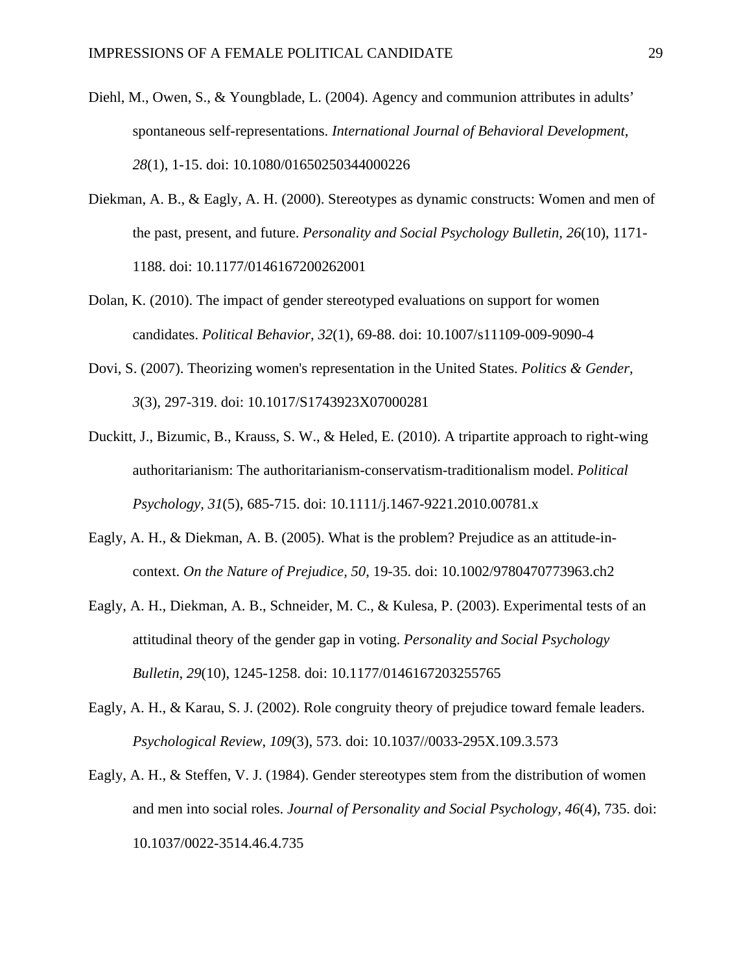- Diehl, M., Owen, S., & Youngblade, L. (2004). Agency and communion attributes in adults' spontaneous self-representations. *International Journal of Behavioral Development*, *28*(1), 1-15. doi: 10.1080/01650250344000226
- Diekman, A. B., & Eagly, A. H. (2000). Stereotypes as dynamic constructs: Women and men of the past, present, and future. *Personality and Social Psychology Bulletin, 26*(10), 1171- 1188. doi: 10.1177/0146167200262001
- Dolan, K. (2010). The impact of gender stereotyped evaluations on support for women candidates. *Political Behavior*, *32*(1), 69-88. doi: 10.1007/s11109-009-9090-4
- Dovi, S. (2007). Theorizing women's representation in the United States. *Politics & Gender*, *3*(3), 297-319. doi: 10.1017/S1743923X07000281
- Duckitt, J., Bizumic, B., Krauss, S. W., & Heled, E. (2010). A tripartite approach to right-wing authoritarianism: The authoritarianism-conservatism-traditionalism model. *Political Psychology, 31*(5), 685-715. doi: 10.1111/j.1467-9221.2010.00781.x
- Eagly, A. H., & Diekman, A. B. (2005). What is the problem? Prejudice as an attitude-incontext. *On the Nature of Prejudice, 50*, 19-35. doi: 10.1002/9780470773963.ch2
- Eagly, A. H., Diekman, A. B., Schneider, M. C., & Kulesa, P. (2003). Experimental tests of an attitudinal theory of the gender gap in voting. *Personality and Social Psychology Bulletin*, *29*(10), 1245-1258. doi: 10.1177/0146167203255765
- Eagly, A. H., & Karau, S. J. (2002). Role congruity theory of prejudice toward female leaders. *Psychological Review*, *109*(3), 573. doi: 10.1037//0033-295X.109.3.573
- Eagly, A. H., & Steffen, V. J. (1984). Gender stereotypes stem from the distribution of women and men into social roles. *Journal of Personality and Social Psychology, 46*(4), 735. doi: 10.1037/0022-3514.46.4.735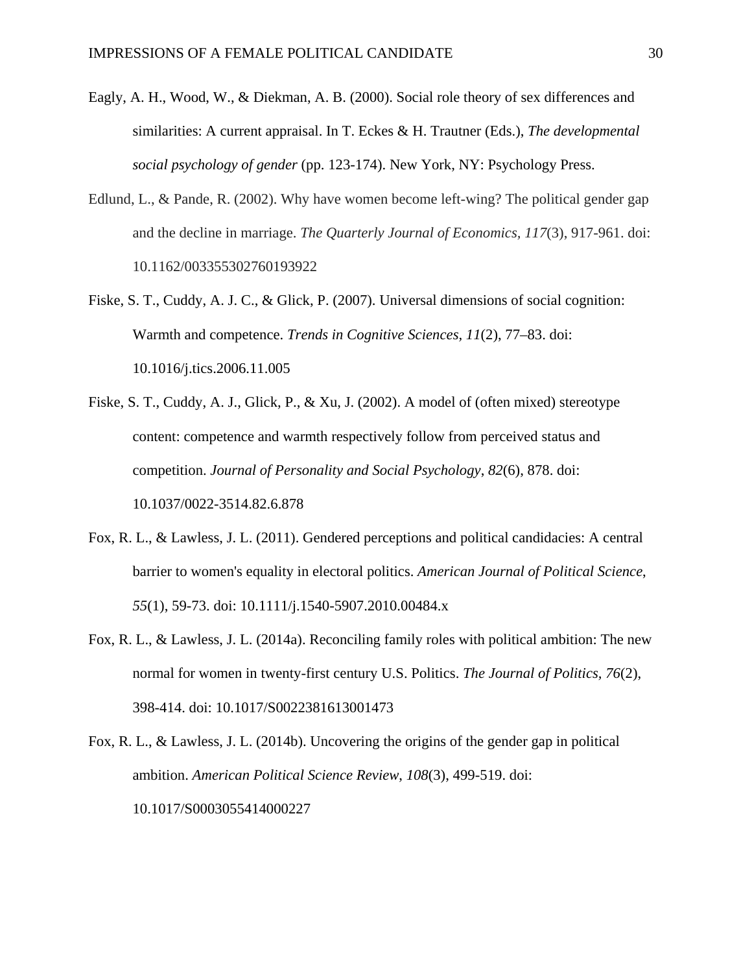- Eagly, A. H., Wood, W., & Diekman, A. B. (2000). Social role theory of sex differences and similarities: A current appraisal. In T. Eckes & H. Trautner (Eds.), *The developmental social psychology of gender* (pp. 123-174). New York, NY: Psychology Press.
- Edlund, L., & Pande, R. (2002). Why have women become left-wing? The political gender gap and the decline in marriage. *The Quarterly Journal of Economics, 117*(3), 917-961. doi: 10.1162/003355302760193922
- Fiske, S. T., Cuddy, A. J. C., & Glick, P. (2007). Universal dimensions of social cognition: Warmth and competence. *Trends in Cognitive Sciences, 11*(2), 77–83. doi: 10.1016/j.tics.2006.11.005
- Fiske, S. T., Cuddy, A. J., Glick, P., & Xu, J. (2002). A model of (often mixed) stereotype content: competence and warmth respectively follow from perceived status and competition. *Journal of Personality and Social Psychology*, *82*(6), 878. doi: 10.1037/0022-3514.82.6.878
- Fox, R. L., & Lawless, J. L. (2011). Gendered perceptions and political candidacies: A central barrier to women's equality in electoral politics. *American Journal of Political Science*, *55*(1), 59-73. doi: 10.1111/j.1540-5907.2010.00484.x
- Fox, R. L., & Lawless, J. L. (2014a). Reconciling family roles with political ambition: The new normal for women in twenty-first century U.S. Politics. *The Journal of Politics, 76*(2), 398-414. doi: 10.1017/S0022381613001473
- Fox, R. L., & Lawless, J. L. (2014b). Uncovering the origins of the gender gap in political ambition. *American Political Science Review*, *108*(3), 499-519. doi: 10.1017/S0003055414000227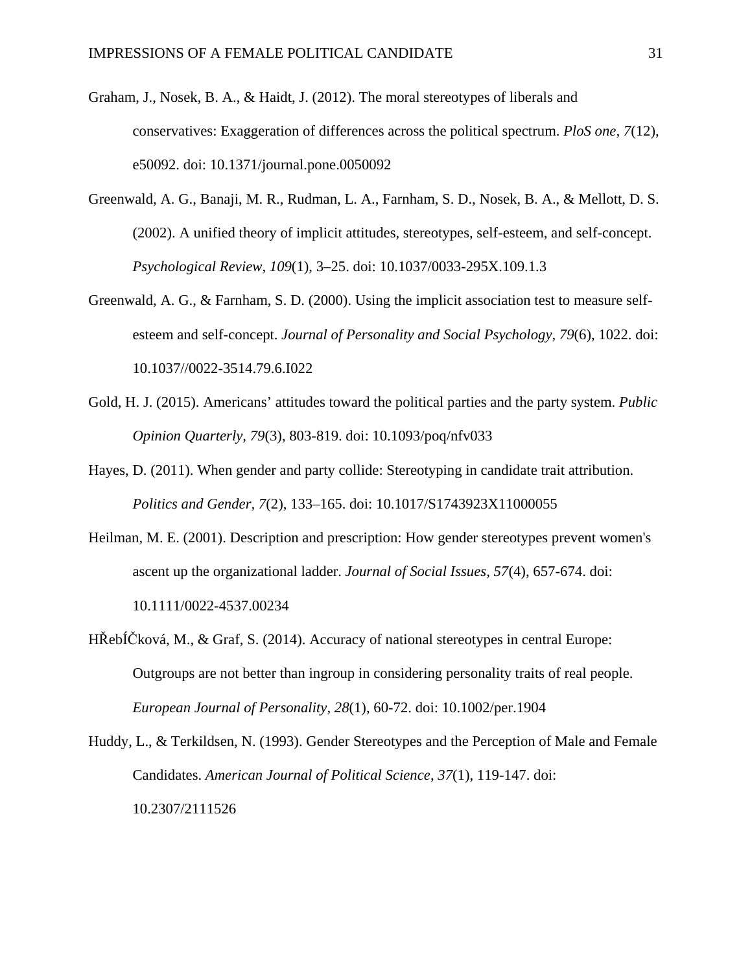- Graham, J., Nosek, B. A., & Haidt, J. (2012). The moral stereotypes of liberals and conservatives: Exaggeration of differences across the political spectrum. *PloS one, 7*(12), e50092. doi: 10.1371/journal.pone.0050092
- Greenwald, A. G., Banaji, M. R., Rudman, L. A., Farnham, S. D., Nosek, B. A., & Mellott, D. S. (2002). A unified theory of implicit attitudes, stereotypes, self-esteem, and self-concept. *Psychological Review, 109*(1), 3–25. doi: 10.1037/0033-295X.109.1.3
- Greenwald, A. G., & Farnham, S. D. (2000). Using the implicit association test to measure selfesteem and self-concept. *Journal of Personality and Social Psychology*, *79*(6), 1022. doi: 10.1037//0022-3514.79.6.I022
- Gold, H. J. (2015). Americans' attitudes toward the political parties and the party system. *Public Opinion Quarterly, 79*(3), 803-819. doi: 10.1093/poq/nfv033
- Hayes, D. (2011). When gender and party collide: Stereotyping in candidate trait attribution. *Politics and Gender, 7*(2), 133–165. doi: 10.1017/S1743923X11000055
- Heilman, M. E. (2001). Description and prescription: How gender stereotypes prevent women's ascent up the organizational ladder. *Journal of Social Issues, 57*(4), 657-674. doi: 10.1111/0022-4537.00234
- HŘebÍČková, M., & Graf, S. (2014). Accuracy of national stereotypes in central Europe: Outgroups are not better than ingroup in considering personality traits of real people. *European Journal of Personality, 28*(1), 60-72. doi: 10.1002/per.1904

Huddy, L., & Terkildsen, N. (1993). Gender Stereotypes and the Perception of Male and Female Candidates. *American Journal of Political Science, 37*(1), 119-147. doi: 10.2307/2111526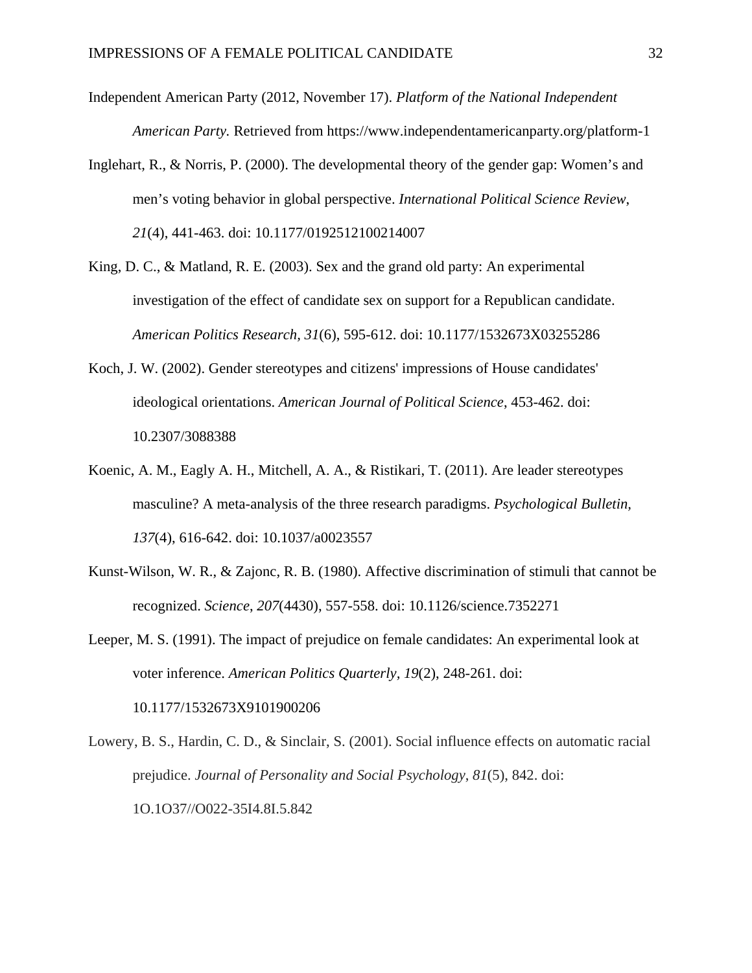- Independent American Party (2012, November 17). *Platform of the National Independent American Party.* Retrieved from https://www.independentamericanparty.org/platform-1
- Inglehart, R., & Norris, P. (2000). The developmental theory of the gender gap: Women's and men's voting behavior in global perspective. *International Political Science Review*, *21*(4), 441-463. doi: 10.1177/0192512100214007
- King, D. C., & Matland, R. E. (2003). Sex and the grand old party: An experimental investigation of the effect of candidate sex on support for a Republican candidate. *American Politics Research, 31*(6), 595-612. doi: 10.1177/1532673X03255286
- Koch, J. W. (2002). Gender stereotypes and citizens' impressions of House candidates' ideological orientations. *American Journal of Political Science*, 453-462. doi: 10.2307/3088388
- Koenic, A. M., Eagly A. H., Mitchell, A. A., & Ristikari, T. (2011). Are leader stereotypes masculine? A meta-analysis of the three research paradigms. *Psychological Bulletin, 137*(4), 616-642. doi: 10.1037/a0023557
- Kunst-Wilson, W. R., & Zajonc, R. B. (1980). Affective discrimination of stimuli that cannot be recognized. *Science*, *207*(4430), 557-558. doi: 10.1126/science.7352271
- Leeper, M. S. (1991). The impact of prejudice on female candidates: An experimental look at voter inference. *American Politics Quarterly, 19*(2), 248-261. doi: 10.1177/1532673X9101900206
- Lowery, B. S., Hardin, C. D., & Sinclair, S. (2001). Social influence effects on automatic racial prejudice. *Journal of Personality and Social Psychology*, *81*(5), 842. doi: 1O.1O37//O022-35I4.8I.5.842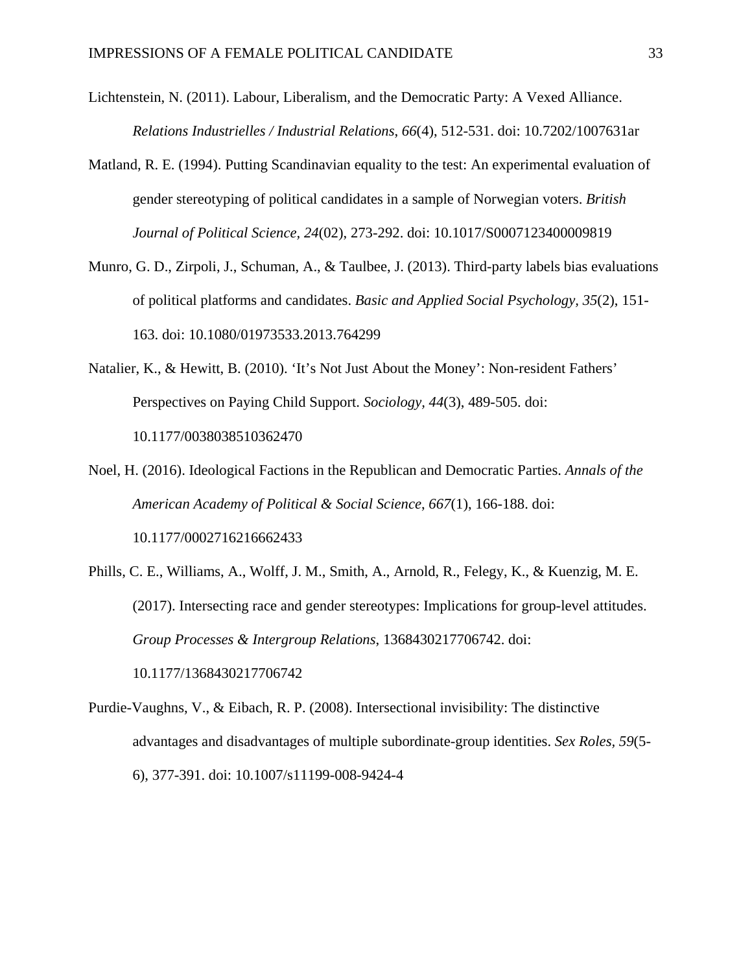- Lichtenstein, N. (2011). Labour, Liberalism, and the Democratic Party: A Vexed Alliance. *Relations Industrielles / Industrial Relations*, *66*(4), 512-531. doi: 10.7202/1007631ar
- Matland, R. E. (1994). Putting Scandinavian equality to the test: An experimental evaluation of gender stereotyping of political candidates in a sample of Norwegian voters. *British Journal of Political Science, 24*(02), 273-292. doi: 10.1017/S0007123400009819
- Munro, G. D., Zirpoli, J., Schuman, A., & Taulbee, J. (2013). Third-party labels bias evaluations of political platforms and candidates. *Basic and Applied Social Psychology, 35*(2), 151- 163. doi: 10.1080/01973533.2013.764299
- Natalier, K., & Hewitt, B. (2010). 'It's Not Just About the Money': Non-resident Fathers' Perspectives on Paying Child Support. *Sociology, 44*(3), 489-505. doi: 10.1177/0038038510362470
- Noel, H. (2016). Ideological Factions in the Republican and Democratic Parties. *Annals of the American Academy of Political & Social Science*, *667*(1), 166-188. doi: 10.1177/0002716216662433
- Phills, C. E., Williams, A., Wolff, J. M., Smith, A., Arnold, R., Felegy, K., & Kuenzig, M. E. (2017). Intersecting race and gender stereotypes: Implications for group-level attitudes. *Group Processes & Intergroup Relations*, 1368430217706742. doi: 10.1177/1368430217706742
- Purdie-Vaughns, V., & Eibach, R. P. (2008). Intersectional invisibility: The distinctive advantages and disadvantages of multiple subordinate-group identities. *Sex Roles, 59*(5- 6), 377-391. doi: 10.1007/s11199-008-9424-4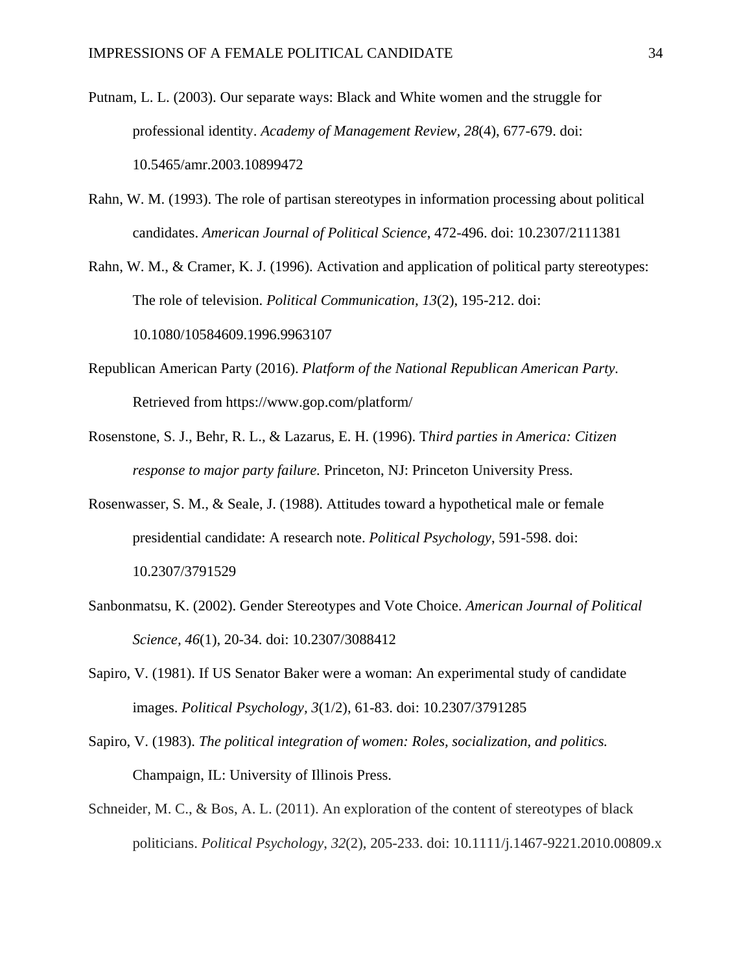- Putnam, L. L. (2003). Our separate ways: Black and White women and the struggle for professional identity. *Academy of Management Review, 28*(4), 677-679. doi: 10.5465/amr.2003.10899472
- Rahn, W. M. (1993). The role of partisan stereotypes in information processing about political candidates. *American Journal of Political Science*, 472-496. doi: 10.2307/2111381
- Rahn, W. M., & Cramer, K. J. (1996). Activation and application of political party stereotypes: The role of television. *Political Communication, 13*(2), 195-212. doi: 10.1080/10584609.1996.9963107
- Republican American Party (2016). *Platform of the National Republican American Party.* Retrieved from https://www.gop.com/platform/
- Rosenstone, S. J., Behr, R. L., & Lazarus, E. H. (1996). T*hird parties in America: Citizen response to major party failure.* Princeton, NJ: Princeton University Press.
- Rosenwasser, S. M., & Seale, J. (1988). Attitudes toward a hypothetical male or female presidential candidate: A research note. *Political Psychology*, 591-598. doi: 10.2307/3791529
- Sanbonmatsu, K. (2002). Gender Stereotypes and Vote Choice. *American Journal of Political Science, 46*(1), 20-34. doi: 10.2307/3088412
- Sapiro, V. (1981). If US Senator Baker were a woman: An experimental study of candidate images. *Political Psychology, 3*(1/2), 61-83. doi: 10.2307/3791285
- Sapiro, V. (1983). *The political integration of women: Roles, socialization, and politics.* Champaign, IL: University of Illinois Press.
- Schneider, M. C., & Bos, A. L. (2011). An exploration of the content of stereotypes of black politicians. *Political Psychology*, *32*(2), 205-233. doi: 10.1111/j.1467-9221.2010.00809.x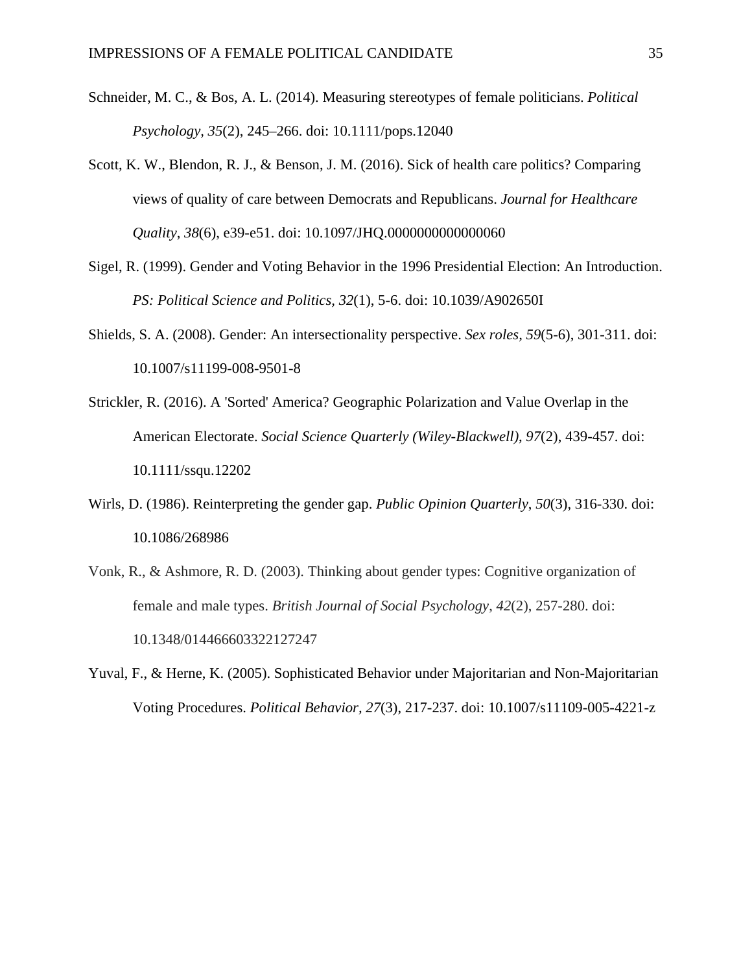- Schneider, M. C., & Bos, A. L. (2014). Measuring stereotypes of female politicians. *Political Psychology, 35*(2), 245–266. doi: 10.1111/pops.12040
- Scott, K. W., Blendon, R. J., & Benson, J. M. (2016). Sick of health care politics? Comparing views of quality of care between Democrats and Republicans. *Journal for Healthcare Quality*, *38*(6), e39-e51. doi: 10.1097/JHQ.0000000000000060
- Sigel, R. (1999). Gender and Voting Behavior in the 1996 Presidential Election: An Introduction. *PS: Political Science and Politics, 32*(1), 5-6. doi: 10.1039/A902650I
- Shields, S. A. (2008). Gender: An intersectionality perspective. *Sex roles, 59*(5-6), 301-311. doi: 10.1007/s11199-008-9501-8
- Strickler, R. (2016). A 'Sorted' America? Geographic Polarization and Value Overlap in the American Electorate. *Social Science Quarterly (Wiley-Blackwell)*, *97*(2), 439-457. doi: 10.1111/ssqu.12202
- Wirls, D. (1986). Reinterpreting the gender gap. *Public Opinion Quarterly*, *50*(3), 316-330. doi: 10.1086/268986
- Vonk, R., & Ashmore, R. D. (2003). Thinking about gender types: Cognitive organization of female and male types. *British Journal of Social Psychology*, *42*(2), 257-280. doi: 10.1348/014466603322127247
- Yuval, F., & Herne, K. (2005). Sophisticated Behavior under Majoritarian and Non-Majoritarian Voting Procedures. *Political Behavior, 27*(3), 217-237. doi: 10.1007/s11109-005-4221-z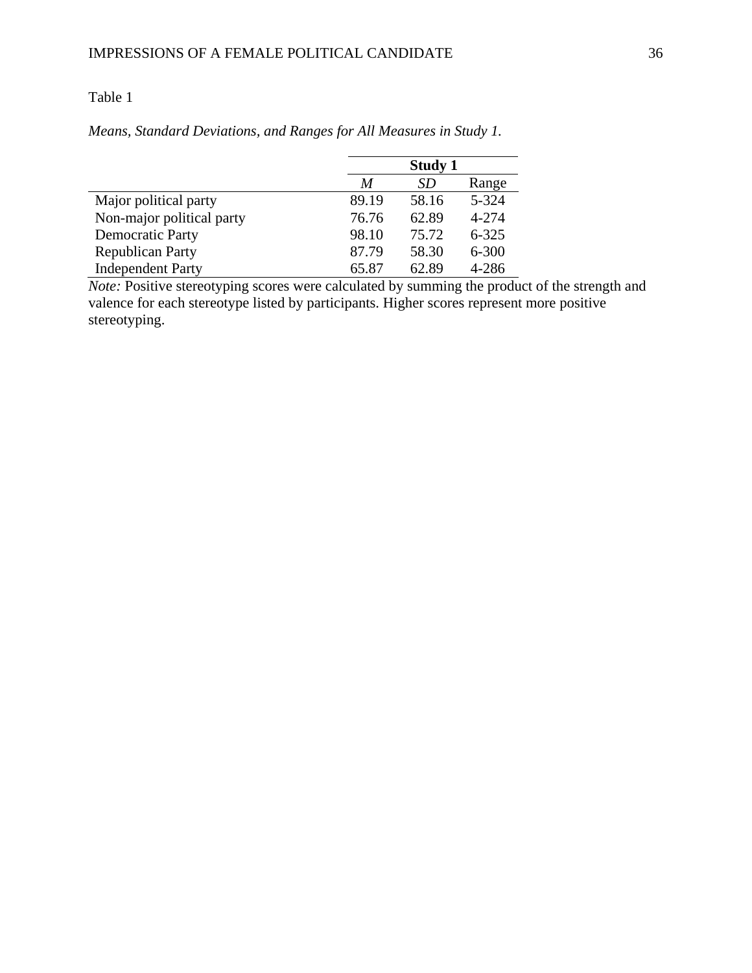## Table 1

|                           | <b>Study 1</b> |       |           |  |  |
|---------------------------|----------------|-------|-----------|--|--|
|                           | M              | SD    | Range     |  |  |
| Major political party     | 89.19          | 58.16 | 5-324     |  |  |
| Non-major political party | 76.76          | 62.89 | 4-274     |  |  |
| Democratic Party          | 98.10          | 75.72 | $6 - 325$ |  |  |
| <b>Republican Party</b>   | 87.79          | 58.30 | $6 - 300$ |  |  |
| <b>Independent Party</b>  | 65.87          | 62.89 | 4-286     |  |  |

*Means, Standard Deviations, and Ranges for All Measures in Study 1.* 

*Note:* Positive stereotyping scores were calculated by summing the product of the strength and valence for each stereotype listed by participants. Higher scores represent more positive stereotyping.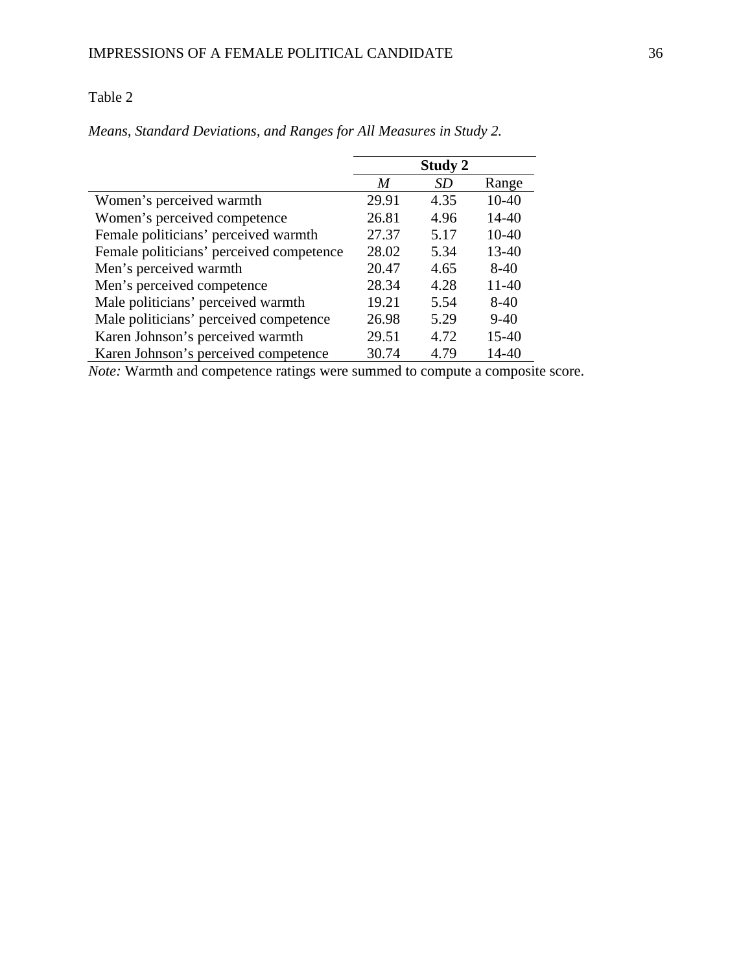## Table 2

|                                          |       | <b>Study 2</b> |           |
|------------------------------------------|-------|----------------|-----------|
|                                          | M     | <b>SD</b>      | Range     |
| Women's perceived warmth                 | 29.91 | 4.35           | $10-40$   |
| Women's perceived competence             | 26.81 | 4.96           | 14-40     |
| Female politicians' perceived warmth     | 27.37 | 5.17           | $10-40$   |
| Female politicians' perceived competence | 28.02 | 5.34           | $13 - 40$ |
| Men's perceived warmth                   | 20.47 | 4.65           | $8-40$    |
| Men's perceived competence               | 28.34 | 4.28           | $11-40$   |
| Male politicians' perceived warmth       | 19.21 | 5.54           | $8-40$    |
| Male politicians' perceived competence   | 26.98 | 5.29           | $9-40$    |
| Karen Johnson's perceived warmth         | 29.51 | 4.72           | $15-40$   |
| Karen Johnson's perceived competence     | 30.74 | 4.79           | 14-40     |

*Means, Standard Deviations, and Ranges for All Measures in Study 2.* 

*Note:* Warmth and competence ratings were summed to compute a composite score.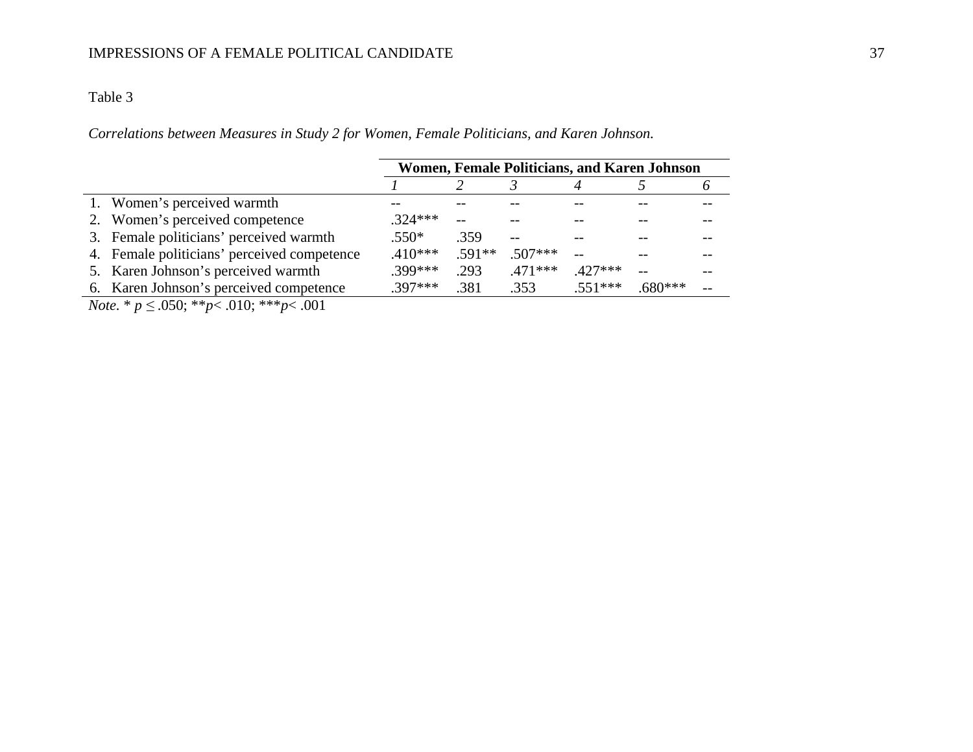## IMPRESSIONS OF A FEMALE POLITICAL CANDIDATE

#### Table 3

*Correlations between Measures in Study 2 for Women, Female Politicians, and Karen Johnson.* 

|                                             | Women, Female Politicians, and Karen Johnson |          |           |           |           |  |
|---------------------------------------------|----------------------------------------------|----------|-----------|-----------|-----------|--|
|                                             |                                              |          |           |           |           |  |
| 1. Women's perceived warmth                 |                                              |          |           |           |           |  |
| 2. Women's perceived competence             | $324***$                                     |          |           |           |           |  |
| 3. Female politicians' perceived warmth     | $.550*$                                      | .359     |           |           |           |  |
| 4. Female politicians' perceived competence | $.410***$                                    | $.591**$ | $.507***$ |           |           |  |
| 5. Karen Johnson's perceived warmth         | $.399***$                                    | .293     | $.471***$ | $.427***$ |           |  |
| 6. Karen Johnson's perceived competence     | $397***$                                     | .381     | .353      | $.551***$ | $.680***$ |  |
|                                             |                                              |          |           |           |           |  |

*Note.* \* *p ≤* .050; \*\**p*< .010; \*\*\**p*< .001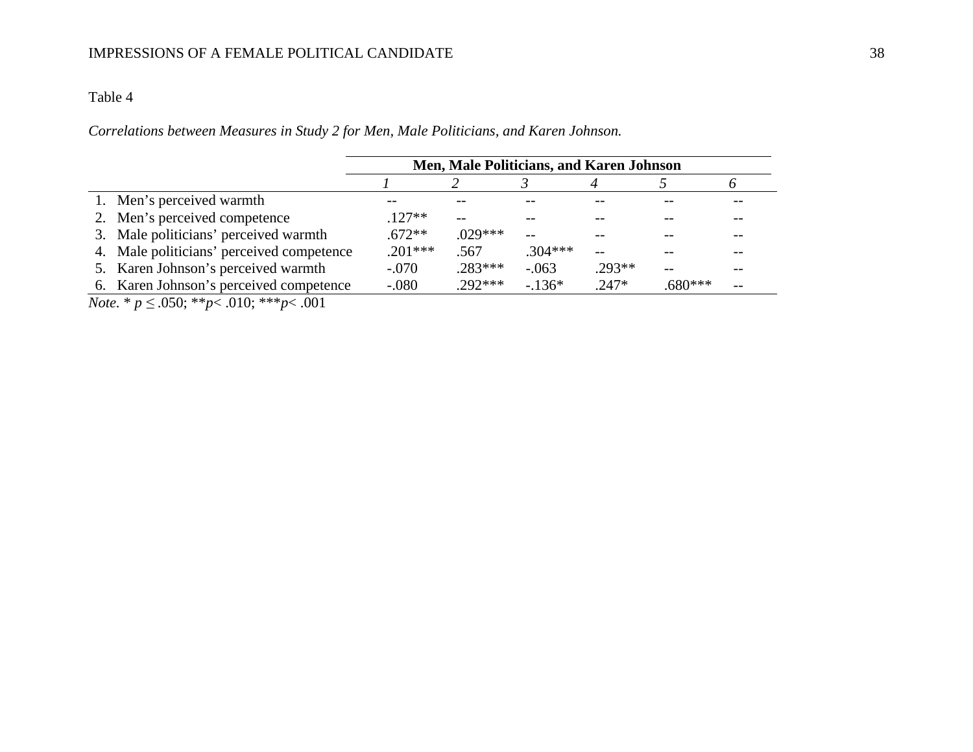#### Table 4

*Correlations between Measures in Study 2 for Men, Male Politicians, and Karen Johnson.* 

|                                           |           | Men, Male Politicians, and Karen Johnson |           |          |           |  |
|-------------------------------------------|-----------|------------------------------------------|-----------|----------|-----------|--|
|                                           |           |                                          |           |          |           |  |
| 1. Men's perceived warmth                 |           |                                          |           |          |           |  |
| 2. Men's perceived competence             | $.127**$  |                                          |           |          |           |  |
| 3. Male politicians' perceived warmth     | $.672**$  | $.029***$                                |           |          |           |  |
| 4. Male politicians' perceived competence | $.201***$ | .567                                     | $.304***$ |          |           |  |
| 5. Karen Johnson's perceived warmth       | $-.070$   | $.283***$                                | $-.063$   | $.293**$ |           |  |
| 6. Karen Johnson's perceived competence   | $-.080$   | $.292***$                                | $-136*$   | $.247*$  | $.680***$ |  |

*Note.* \* *p ≤* .050; \*\**p*< .010; \*\*\**p*< .001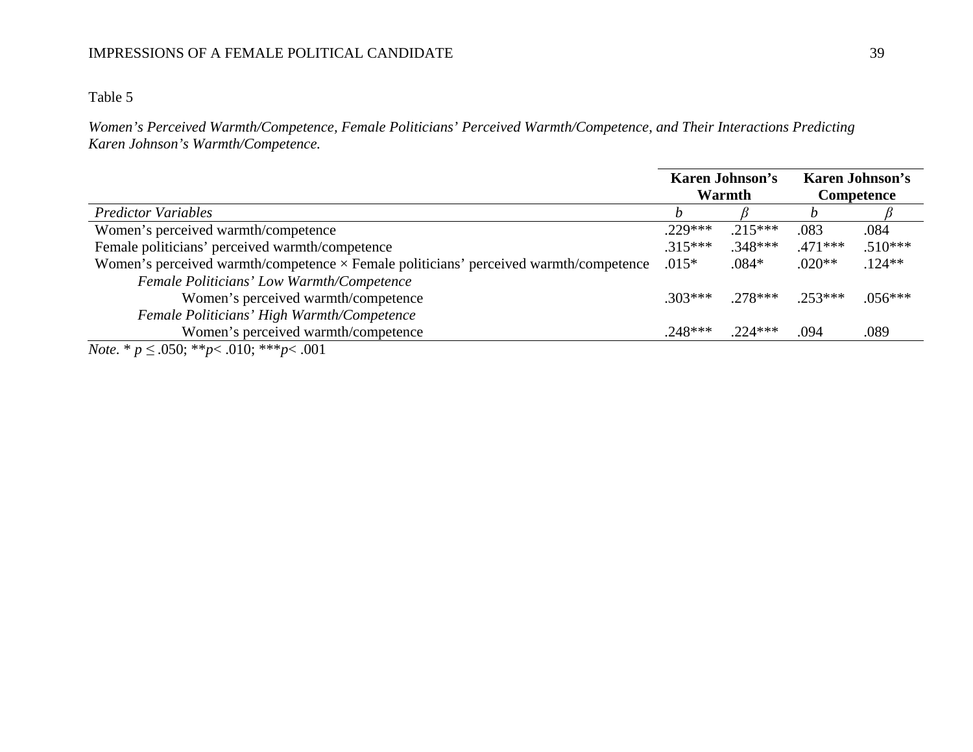## IMPRESSIONS OF A FEMALE POLITICAL CANDIDATE 39

### Table 5

*Women's Perceived Warmth/Competence, Female Politicians' Perceived Warmth/Competence, and Their Interactions Predicting Karen Johnson's Warmth/Competence.* 

|                                                                                              | <b>Karen Johnson's</b><br>Warmth | <b>Karen Johnson's</b><br>Competence |           |           |
|----------------------------------------------------------------------------------------------|----------------------------------|--------------------------------------|-----------|-----------|
| <b>Predictor Variables</b>                                                                   |                                  |                                      |           |           |
| Women's perceived warmth/competence                                                          | $.229***$                        | $.215***$                            | .083      | .084      |
| Female politicians' perceived warmth/competence                                              | $.315***$                        | $.348***$                            | $.471***$ | $.510***$ |
| Women's perceived warmth/competence $\times$ Female politicians' perceived warmth/competence | $.015*$                          | $.084*$                              | $.020**$  | $.124**$  |
| Female Politicians' Low Warmth/Competence                                                    |                                  |                                      |           |           |
| Women's perceived warmth/competence                                                          | $.303***$                        | $.278***$                            | $.253***$ | $.056***$ |
| Female Politicians' High Warmth/Competence                                                   |                                  |                                      |           |           |
| Women's perceived warmth/competence                                                          | $.248***$                        | $.224***$                            | .094      | .089      |
| $M_{\nu}$ , $\psi$ , $\chi$ 050, $\psi \psi$ , 010, $\psi \psi \psi$ , 001                   |                                  |                                      |           |           |

*Note.* \* *p ≤* .050; \*\**p*< .010; \*\*\**p*< .001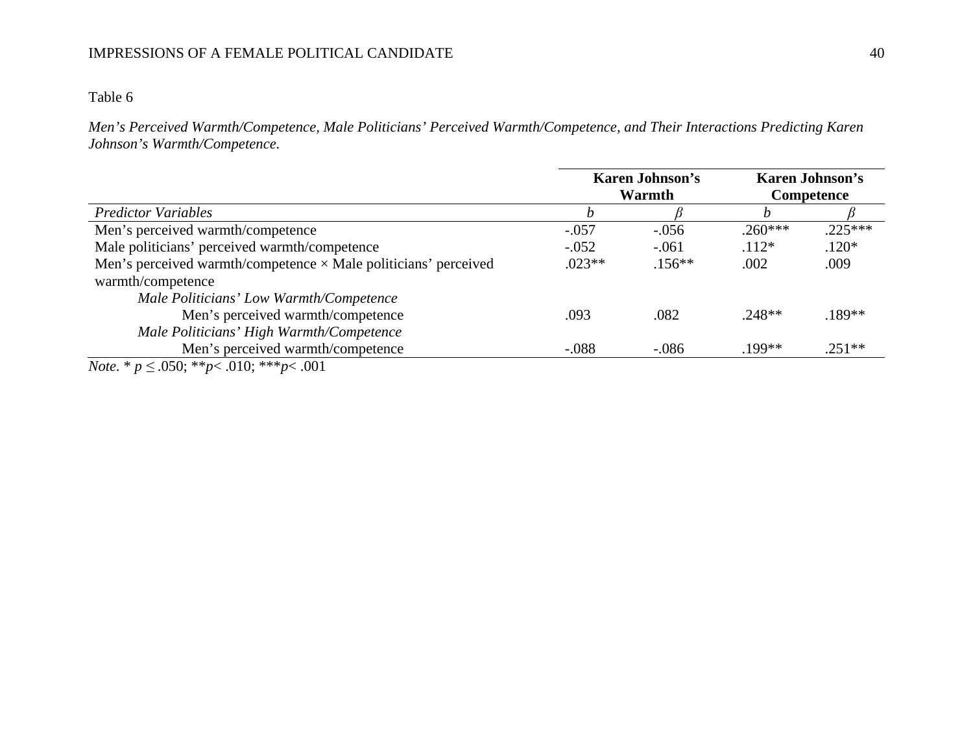## Table 6

*Men's Perceived Warmth/Competence, Male Politicians' Perceived Warmth/Competence, and Their Interactions Predicting Karen Johnson's Warmth/Competence.* 

|                                                                        | <b>Karen Johnson's</b><br>Warmth |          | <b>Karen Johnson's</b><br>Competence |           |
|------------------------------------------------------------------------|----------------------------------|----------|--------------------------------------|-----------|
| <b>Predictor Variables</b>                                             |                                  |          | n                                    |           |
| Men's perceived warmth/competence                                      | $-.057$                          | $-.056$  | $.260***$                            | $.225***$ |
| Male politicians' perceived warmth/competence                          | $-.052$                          | $-.061$  | $.112*$                              | $.120*$   |
| Men's perceived warmth/competence $\times$ Male politicians' perceived | $.023**$                         | $.156**$ | .002                                 | .009      |
| warmth/competence                                                      |                                  |          |                                      |           |
| Male Politicians' Low Warmth/Competence                                |                                  |          |                                      |           |
| Men's perceived warmth/competence                                      | .093                             | .082     | $.248**$                             | $.189**$  |
| Male Politicians' High Warmth/Competence                               |                                  |          |                                      |           |
| Men's perceived warmth/competence                                      | $-.088$                          | $-.086$  | .199**                               | $.251**$  |
| <i>Note.</i> * $p \le 0.050$ ; ** $p < 0.010$ ; *** $p < 0.001$        |                                  |          |                                      |           |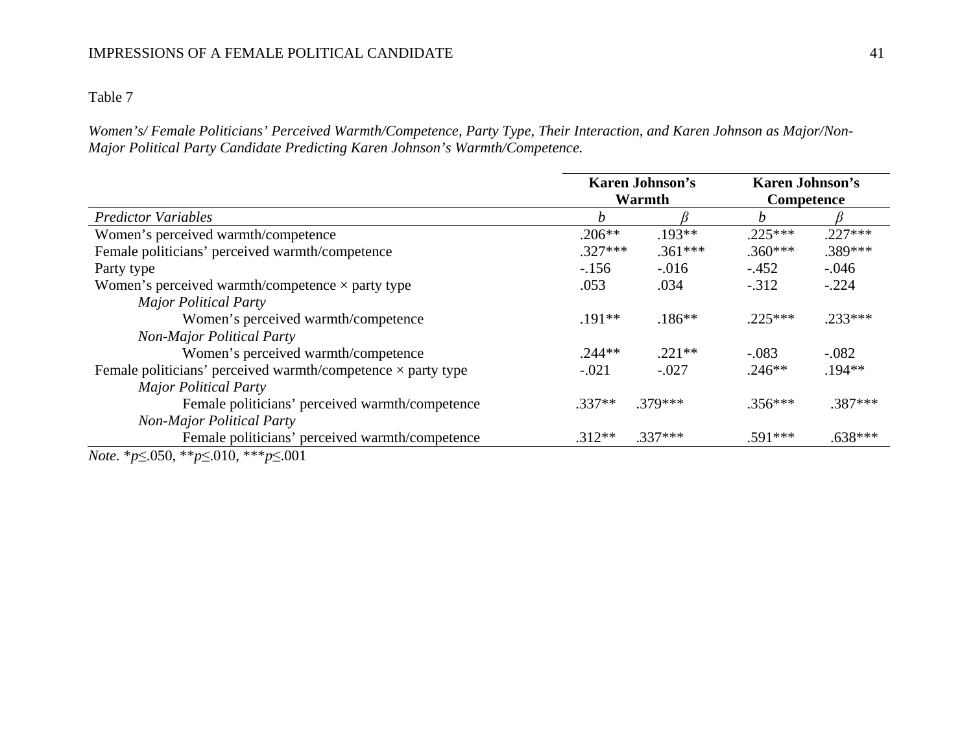## IMPRESSIONS OF A FEMALE POLITICAL CANDIDATE

Table 7

*Women's/ Female Politicians' Perceived Warmth/Competence, Party Type, Their Interaction, and Karen Johnson as Major/Non-Major Political Party Candidate Predicting Karen Johnson's Warmth/Competence.* 

|                                                                     | <b>Karen Johnson's</b> |           | <b>Karen Johnson's</b> |           |  |
|---------------------------------------------------------------------|------------------------|-----------|------------------------|-----------|--|
|                                                                     |                        | Warmth    | <b>Competence</b>      |           |  |
| <b>Predictor Variables</b>                                          | h                      |           | n                      |           |  |
| Women's perceived warmth/competence                                 | $.206**$               | $.193**$  | $.225***$              | $.227***$ |  |
| Female politicians' perceived warmth/competence                     | $.327***$              | $.361***$ | $.360***$              | .389***   |  |
| Party type                                                          | $-156$                 | $-.016$   | $-.452$                | $-.046$   |  |
| Women's perceived warmth/competence $\times$ party type             | .053                   | .034      | $-.312$                | $-.224$   |  |
| <b>Major Political Party</b>                                        |                        |           |                        |           |  |
| Women's perceived warmth/competence                                 | $.191**$               | $.186***$ | $.225***$              | $.233***$ |  |
| <b>Non-Major Political Party</b>                                    |                        |           |                        |           |  |
| Women's perceived warmth/competence                                 | $.244**$               | $.221**$  | $-.083$                | $-.082$   |  |
| Female politicians' perceived warmth/competence $\times$ party type | $-.021$                | $-.027$   | $.246**$               | $.194**$  |  |
| <b>Major Political Party</b>                                        |                        |           |                        |           |  |
| Female politicians' perceived warmth/competence                     | $.337**$               | $.379***$ | $.356***$              | $.387***$ |  |
| <b>Non-Major Political Party</b>                                    |                        |           |                        |           |  |
| Female politicians' perceived warmth/competence                     | $.312**$               | $.337***$ | $.591***$              | $.638***$ |  |
| <i>Note.</i> * $p \le 0.050$ , ** $p \le 0.010$ , *** $p \le 0.001$ |                        |           |                        |           |  |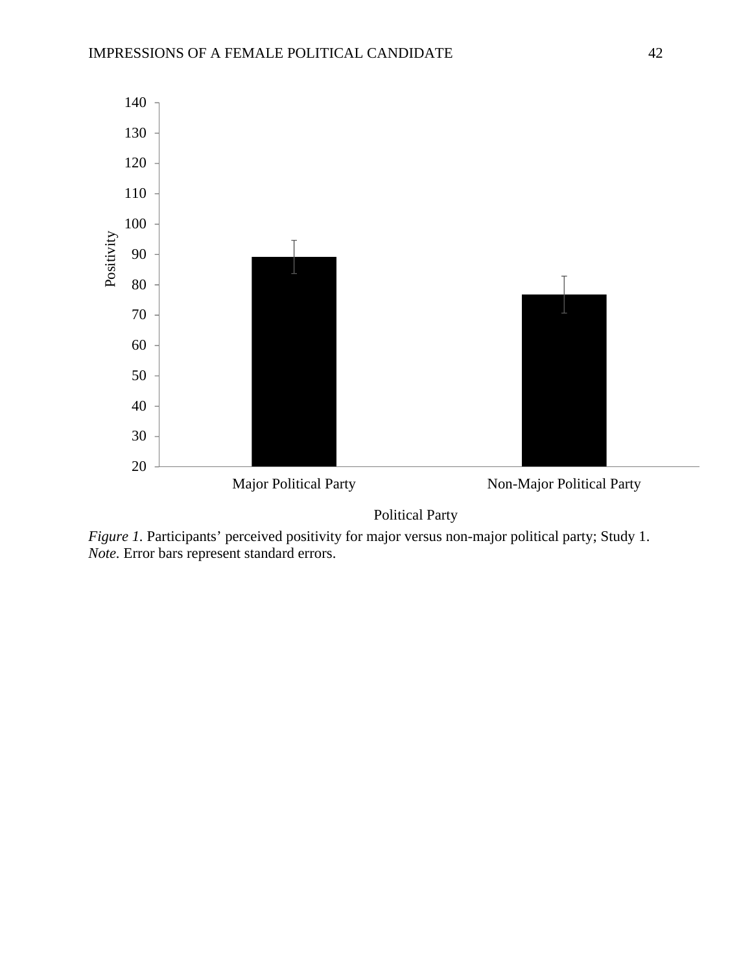

Political Party

*Figure 1.* Participants' perceived positivity for major versus non-major political party; Study 1. *Note.* Error bars represent standard errors.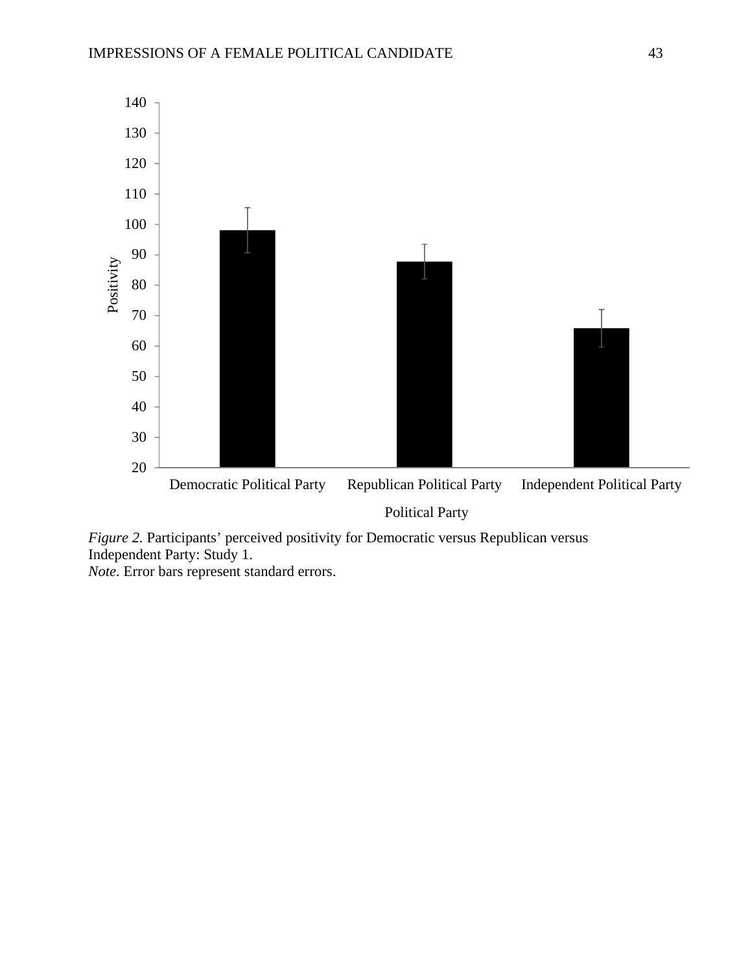

*Figure 2.* Participants' perceived positivity for Democratic versus Republican versus Independent Party: Study 1.

*Note.* Error bars represent standard errors.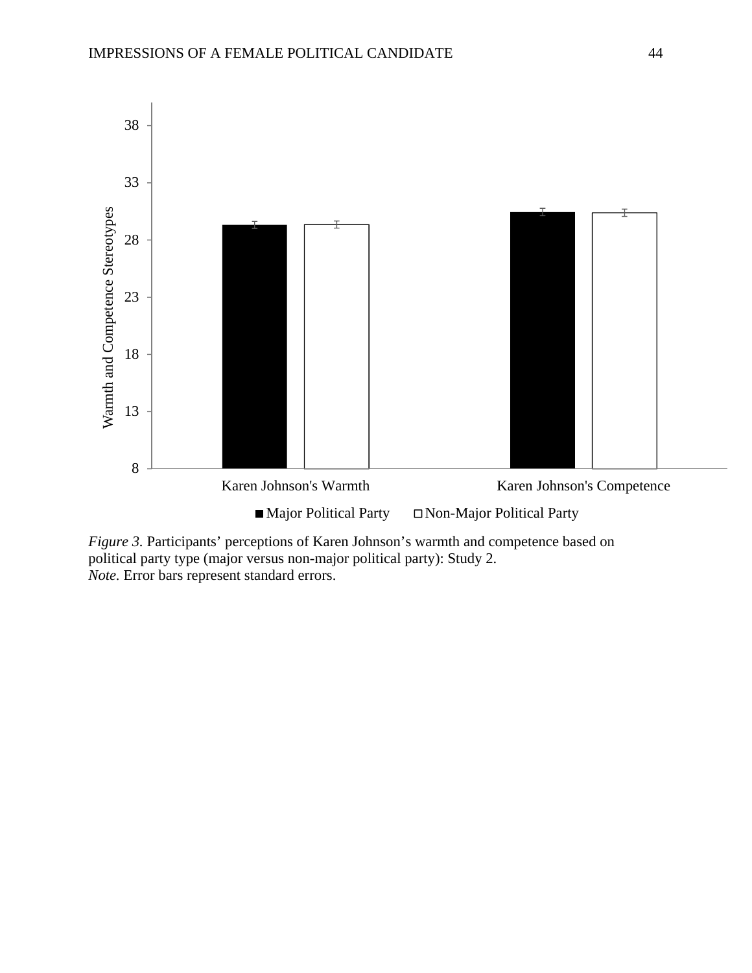

 *Figure 3.* Participants' perceptions of Karen Johnson's warmth and competence based on political party type (major versus non-major political party): Study 2. *Note.* Error bars represent standard errors.